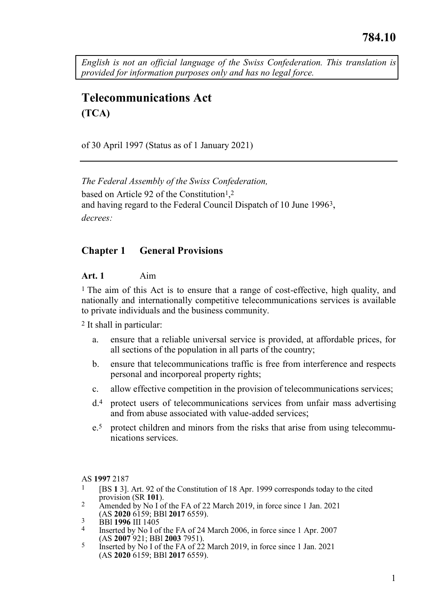<span id="page-0-0"></span>*English is not an official language of the Swiss Confederation. This translation is provided for information purposes only and has no legal force.*

# **Telecommunications Act (TCA)**

of 30 April 1997 (Status as of 1 January 2021)

*The Federal Assembly of the Swiss Confederation,* based on Article 92 of the Constitution<sup>1</sup>,<sup>2</sup> and having regard to the Federal Council Dispatch of 10 June 1996<sup>3</sup>, *decrees:*

## **Chapter 1 General Provisions**

#### **Art. 1** Aim

1 The aim of this Act is to ensure that a range of cost-effective, high quality, and nationally and internationally competitive telecommunications services is available to private individuals and the business community.

2 It shall in particular:

- a. ensure that a reliable universal service is provided, at affordable prices, for all sections of the population in all parts of the country;
- b. ensure that telecommunications traffic is free from interference and respects personal and incorporeal property rights;
- c. allow effective competition in the provision of telecommunications services;
- d.4 protect users of telecommunications services from unfair mass advertising and from abuse associated with value-added services;
- e.5 protect children and minors from the risks that arise from using telecommunications services.

AS **1997** 2187

- 1 [BS **1** 3]. Art. 92 of the Constitution of 18 Apr. 1999 corresponds today to the cited provision (SR **101**).
- 2 Amended by No I of the FA of 22 March 2019, in force since 1 Jan. 2021 (AS **2020** 6159; BBl **2017** 6559).
- 3 BBl **1996** III 1405
- Inserted by No I of the FA of 24 March 2006, in force since 1 Apr. 2007 (AS **2007** 921; BBl **2003** 7951).
- 5 Inserted by No I of the FA of 22 March 2019, in force since 1 Jan. 2021 (AS **2020** 6159; BBl **2017** 6559).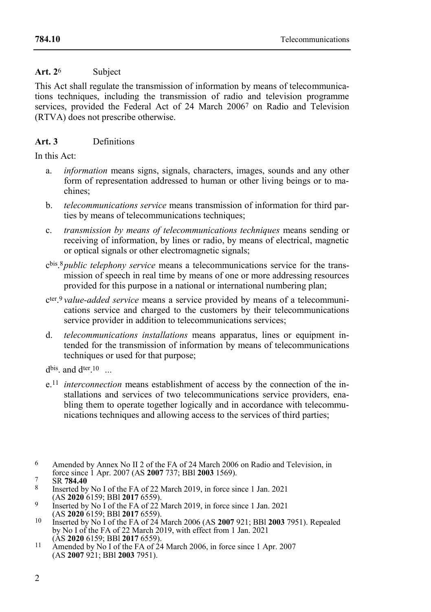## Art. 2<sup>6</sup> Subject

This Act shall regulate the transmission of information by means of telecommunications techniques, including the transmission of radio and television programme services, provided the Federal Act of 24 March 20067 on Radio and Television (RTVA) does not prescribe otherwise.

## **Art. 3** Definitions

In this Act:

- a. *information* means signs, signals, characters, images, sounds and any other form of representation addressed to human or other living beings or to machines;
- b. *telecommunications service* means transmission of information for third parties by means of telecommunications techniques;
- c. *transmission by means of telecommunications techniques* means sending or receiving of information, by lines or radio, by means of electrical, magnetic or optical signals or other electromagnetic signals;
- c bis . 8*public telephony service* means a telecommunications service for the transmission of speech in real time by means of one or more addressing resources provided for this purpose in a national or international numbering plan;
- c ter . 9 *value-added service* means a service provided by means of a telecommunications service and charged to the customers by their telecommunications service provider in addition to telecommunications services;
- d. *telecommunications installations* means apparatus, lines or equipment intended for the transmission of information by means of telecommunications techniques or used for that purpose;

d<sup>bis</sup>. and d<sup>ter</sup>.<sup>10</sup> ...

e.11 *interconnection* means establishment of access by the connection of the installations and services of two telecommunications service providers, enabling them to operate together logically and in accordance with telecommunications techniques and allowing access to the services of third parties;

<sup>6</sup> Amended by Annex No II 2 of the FA of 24 March 2006 on Radio and Television, in force since 1 Apr. 2007 (AS **2007** 737; BBl **2003** 1569).

<sup>7</sup> SR **784.40**

<sup>8</sup> Inserted by No I of the FA of 22 March 2019, in force since 1 Jan. 2021 (AS **2020** 6159; BBl **2017** 6559).

<sup>9</sup> Inserted by No I of the FA of 22 March 2019, in force since 1 Jan. 2021 (AS **2020** 6159; BBl **2017** 6559).

<sup>10</sup> Inserted by No I of the FA of 24 March 2006 (AS **2007** 921; BBl **2003** 7951). Repealed by No I of the FA of 22 March 2019, with effect from 1 Jan. 2021 (AS **2020** 6159; BBl **2017** 6559).

<sup>&</sup>lt;sup>11</sup> Amended by No I of the FA of 24 March 2006, in force since 1 Apr. 2007 (AS **2007** 921; BBl **2003** 7951).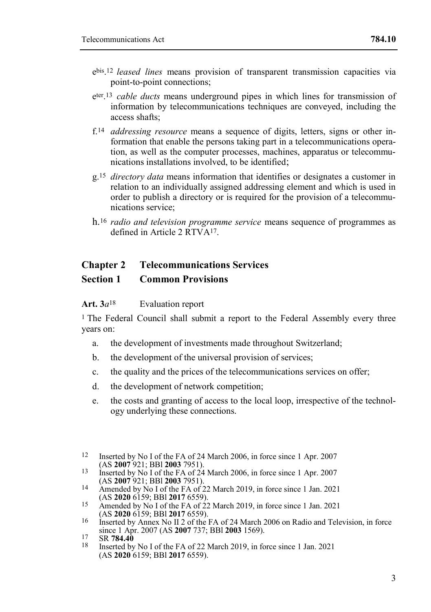- e bis . 12 *leased lines* means provision of transparent transmission capacities via point-to-point connections;
- eter 13 *cable ducts* means underground pipes in which lines for transmission of information by telecommunications techniques are conveyed, including the access shafts;
- f.14 *addressing resource* means a sequence of digits, letters, signs or other information that enable the persons taking part in a telecommunications operation, as well as the computer processes, machines, apparatus or telecommunications installations involved, to be identified;
- g. 15 *directory data* means information that identifies or designates a customer in relation to an individually assigned addressing element and which is used in order to publish a directory or is required for the provision of a telecommunications service;
- h.<sup>16</sup> *radio and television programme service* means sequence of programmes as defined in Article 2 RTVA17.

## **Chapter 2 Telecommunications Services**

## **Section 1 Common Provisions**

Art. 3*a*<sup>18</sup> Evaluation report

<sup>1</sup> The Federal Council shall submit a report to the Federal Assembly every three years on:

- a. the development of investments made throughout Switzerland;
- b. the development of the universal provision of services;
- c. the quality and the prices of the telecommunications services on offer;
- d. the development of network competition;
- e. the costs and granting of access to the local loop, irrespective of the technology underlying these connections.
- 12 Inserted by No I of the FA of 24 March 2006, in force since 1 Apr. 2007 (AS **2007** 921; BBl **2003** 7951).
- 13 Inserted by No I of the FA of 24 March 2006, in force since 1 Apr. 2007 (AS **2007** 921; BBl **2003** 7951).
- 14 Amended by No I of the FA of 22 March 2019, in force since 1 Jan. 2021 (AS **2020** 6159; BBl **2017** 6559).
- 15 Amended by No I of the FA of 22 March 2019, in force since 1 Jan. 2021 (AS **2020** 6159; BBl **2017** 6559).
- 16 Inserted by Annex No II 2 of the FA of 24 March 2006 on Radio and Television, in force since 1 Apr. 2007 (AS **2007** 737; BBl **2003** 1569).
- 17 SR **784.40**
- 18 Inserted by No I of the FA of 22 March 2019, in force since 1 Jan. 2021 (AS **2020** 6159; BBl **2017** 6559).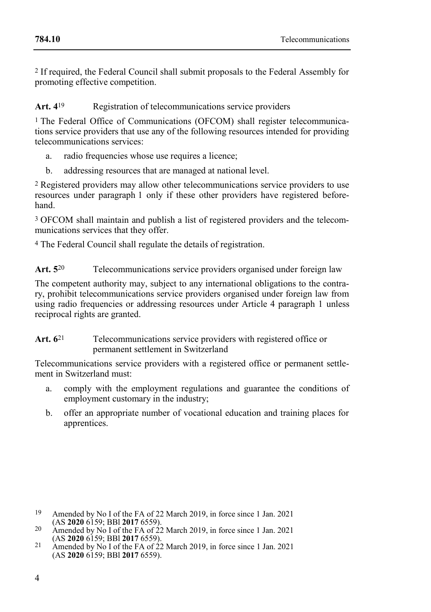2 If required, the Federal Council shall submit proposals to the Federal Assembly for promoting effective competition.

## **Art. 4**19 Registration of telecommunications service providers

1 The Federal Office of Communications (OFCOM) shall register telecommunications service providers that use any of the following resources intended for providing telecommunications services:

- a. radio frequencies whose use requires a licence;
- b. addressing resources that are managed at national level.

2 Registered providers may allow other telecommunications service providers to use resources under paragraph 1 only if these other providers have registered beforehand.

3 OFCOM shall maintain and publish a list of registered providers and the telecommunications services that they offer.

4 The Federal Council shall regulate the details of registration.

## Art. 5<sup>20</sup> Telecommunications service providers organised under foreign law

The competent authority may, subject to any international obligations to the contrary, prohibit telecommunications service providers organised under foreign law from using radio frequencies or addressing resources under Article 4 paragraph 1 unless reciprocal rights are granted.

## Art. 6<sup>21</sup> Telecommunications service providers with registered office or permanent settlement in Switzerland

Telecommunications service providers with a registered office or permanent settlement in Switzerland must:

- a. comply with the employment regulations and guarantee the conditions of employment customary in the industry;
- b. offer an appropriate number of vocational education and training places for apprentices.

<sup>19</sup> Amended by No I of the FA of 22 March 2019, in force since 1 Jan. 2021 (AS **2020** 6159; BBl **2017** 6559).

<sup>&</sup>lt;sup>20</sup> Amended by No I of the FA of  $\frac{2}{2}$  March 2019, in force since 1 Jan. 2021 (AS **2020** 6159; BBl **2017** 6559).

<sup>21</sup> Amended by No I of the FA of 22 March 2019, in force since 1 Jan. 2021 (AS **2020** 6159; BBl **2017** 6559).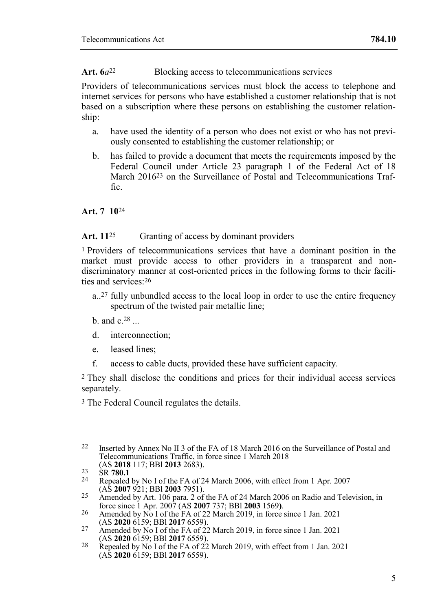## Art.  $6a^{22}$  Blocking access to telecommunications services

Providers of telecommunications services must block the access to telephone and internet services for persons who have established a customer relationship that is not based on a subscription where these persons on establishing the customer relationship:

- a. have used the identity of a person who does not exist or who has not previously consented to establishing the customer relationship; or
- b. has failed to provide a document that meets the requirements imposed by the Federal Council under Article 23 paragraph 1 of the Federal Act of 18 March 2016<sup>23</sup> on the Surveillance of Postal and Telecommunications Traf $f_{1}$  $c$

**Art. 7**–**10**24

## Art. 11<sup>25</sup> Granting of access by dominant providers

1 Providers of telecommunications services that have a dominant position in the market must provide access to other providers in a transparent and nondiscriminatory manner at cost-oriented prices in the following forms to their facilities and services:26

- a..27 fully unbundled access to the local loop in order to use the entire frequency spectrum of the twisted pair metallic line;
- b. and  $c^{28}$ ...
- d. interconnection;
- e. leased lines;
- f. access to cable ducts, provided these have sufficient capacity.

2 They shall disclose the conditions and prices for their individual access services separately.

3 The Federal Council regulates the details.

<sup>22</sup> Inserted by Annex No II 3 of the FA of 18 March 2016 on the Surveillance of Postal and Telecommunications Traffic, in force since 1 March 2018 (AS **2018** 117; BBl **2013** 2683).

<sup>23</sup> SR **780.1**

Repealed by No I of the FA of 24 March 2006, with effect from 1 Apr. 2007 (AS **2007** 921; BBl **2003** 7951).

 $25$  Amended by Art. 106 para. 2 of the FA of 24 March 2006 on Radio and Television, in force since 1 Apr. 2007 (AS **2007** 737; BBl **2003** 1569**)**.

<sup>26</sup> Amended by No I of the FA of 22 March 2019, in force since 1 Jan. 2021 (AS **2020** 6159; BBl **2017** 6559).

<sup>27</sup> Amended by No I of the FA of 22 March 2019, in force since 1 Jan. 2021 (AS **2020** 6159; BBl **2017** 6559).

<sup>&</sup>lt;sup>28</sup> Repealed by No I of the FA of 22 March 2019, with effect from 1 Jan. 2021 (AS **2020** 6159; BBl **2017** 6559).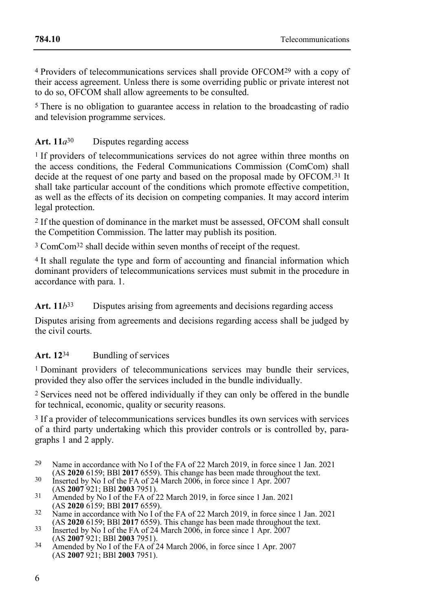4 Providers of telecommunications services shall provide OFCOM29 with a copy of their access agreement. Unless there is some overriding public or private interest not to do so, OFCOM shall allow agreements to be consulted.

5 There is no obligation to guarantee access in relation to the broadcasting of radio and television programme services.

## Art.  $11a^{30}$  Disputes regarding access

1 If providers of telecommunications services do not agree within three months on the access conditions, the Federal Communications Commission (ComCom) shall decide at the request of one party and based on the proposal made by OFCOM.<sup>31</sup> It shall take particular account of the conditions which promote effective competition, as well as the effects of its decision on competing companies. It may accord interim legal protection.

2 If the question of dominance in the market must be assessed, OFCOM shall consult the Competition Commission. The latter may publish its position.

3 ComCom32 shall decide within seven months of receipt of the request.

4 It shall regulate the type and form of accounting and financial information which dominant providers of telecommunications services must submit in the procedure in accordance with para. 1.

Art.  $11b^{33}$  Disputes arising from agreements and decisions regarding access

Disputes arising from agreements and decisions regarding access shall be judged by the civil courts.

## **Art. 12**34 Bundling of services

1 Dominant providers of telecommunications services may bundle their services, provided they also offer the services included in the bundle individually.

2 Services need not be offered individually if they can only be offered in the bundle for technical, economic, quality or security reasons.

3 If a provider of telecommunications services bundles its own services with services of a third party undertaking which this provider controls or is controlled by, paragraphs 1 and 2 apply.

- 29 Name in accordance with No I of the FA of 22 March 2019, in force since 1 Jan. 2021 (AS **2020** 6159; BBl **2017** 6559). This change has been made throughout the text.
- 30 Inserted by No I of the FA of 24 March 2006, in force since 1 Apr. 2007
- (AS **2007** 921; BBl **2003** 7951). 31 Amended by No I of the FA of 22 March 2019, in force since 1 Jan. 2021 (AS **2020** 6159; BBl **2017** 6559).
- <sup>32</sup> Name in accordance with No I of the FA of 22 March 2019, in force since 1 Jan. 2021 (AS **2020** 6159; BBl **2017** 6559). This change has been made throughout the text.
- 33 Inserted by No I of the FA of 24 March 2006, in force since 1 Apr. 2007 (AS **2007** 921; BBl **2003** 7951).
- <sup>34</sup> Amended by No I of the FA of 24 March 2006, in force since 1 Apr. 2007 (AS **2007** 921; BBl **2003** 7951).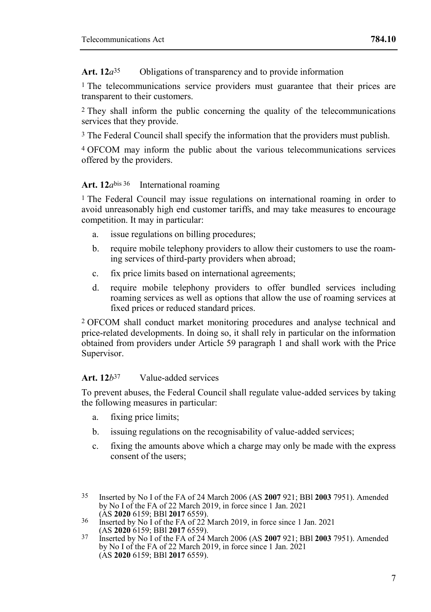**Art. 12***a*35 Obligations of transparency and to provide information

<sup>1</sup> The telecommunications service providers must guarantee that their prices are transparent to their customers.

2 They shall inform the public concerning the quality of the telecommunications services that they provide.

3 The Federal Council shall specify the information that the providers must publish.

4 OFCOM may inform the public about the various telecommunications services offered by the providers.

## **Art. 12***a*bis 36 International roaming

1 The Federal Council may issue regulations on international roaming in order to avoid unreasonably high end customer tariffs, and may take measures to encourage competition. It may in particular:

- a. issue regulations on billing procedures;
- b. require mobile telephony providers to allow their customers to use the roaming services of third-party providers when abroad;
- c. fix price limits based on international agreements;
- d. require mobile telephony providers to offer bundled services including roaming services as well as options that allow the use of roaming services at fixed prices or reduced standard prices.

2 OFCOM shall conduct market monitoring procedures and analyse technical and price-related developments. In doing so, it shall rely in particular on the information obtained from providers under Article 59 paragraph 1 and shall work with the Price Supervisor.

## **Art. 12***b*37 Value-added services

To prevent abuses, the Federal Council shall regulate value-added services by taking the following measures in particular:

- a. fixing price limits;
- b. issuing regulations on the recognisability of value-added services;
- c. fixing the amounts above which a charge may only be made with the express consent of the users;

<sup>35</sup> Inserted by No I of the FA of 24 March 2006 (AS **2007** 921; BBl **2003** 7951). Amended by No I of the FA of 22 March 2019, in force since 1 Jan. 2021 (AS **2020** 6159; BBl **2017** 6559).

<sup>36</sup> Inserted by No I of the FA of 22 March 2019, in force since 1 Jan. 2021 (AS **2020** 6159; BBl **2017** 6559).

<sup>37</sup> Inserted by No I of the FA of 24 March 2006 (AS **2007** 921; BBl **2003** 7951). Amended by No I of the FA of 22 March 2019, in force since 1 Jan. 2021 (AS **2020** 6159; BBl **2017** 6559).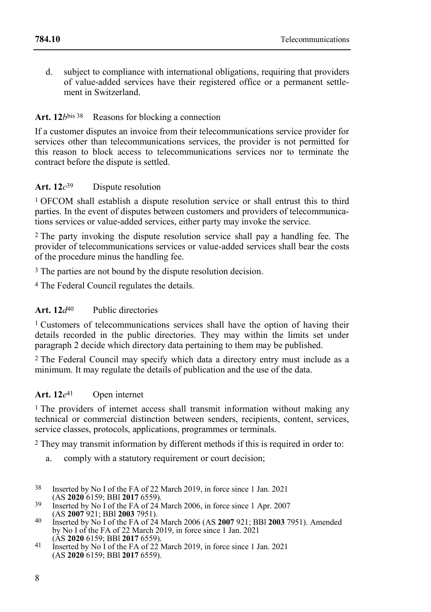d. subject to compliance with international obligations, requiring that providers of value-added services have their registered office or a permanent settlement in Switzerland.

## **Art. 12***b*bis 38 Reasons for blocking a connection

If a customer disputes an invoice from their telecommunications service provider for services other than telecommunications services, the provider is not permitted for this reason to block access to telecommunications services nor to terminate the contract before the dispute is settled.

#### **Art. 12***c* Dispute resolution

1 OFCOM shall establish a dispute resolution service or shall entrust this to third parties. In the event of disputes between customers and providers of telecommunications services or value-added services, either party may invoke the service.

2 The party invoking the dispute resolution service shall pay a handling fee. The provider of telecommunications services or value-added services shall bear the costs of the procedure minus the handling fee.

3 The parties are not bound by the dispute resolution decision.

4 The Federal Council regulates the details.

## **Art. 12***d*40 Public directories

<sup>1</sup> Customers of telecommunications services shall have the option of having their details recorded in the public directories. They may within the limits set under paragraph 2 decide which directory data pertaining to them may be published.

2 The Federal Council may specify which data a directory entry must include as a minimum. It may regulate the details of publication and the use of the data.

#### **Art. 12***e* Open internet

1 The providers of internet access shall transmit information without making any technical or commercial distinction between senders, recipients, content, services, service classes, protocols, applications, programmes or terminals.

2 They may transmit information by different methods if this is required in order to:

- a. comply with a statutory requirement or court decision;
- 38 Inserted by No I of the FA of 22 March 2019, in force since 1 Jan. 2021 (AS **2020** 6159; BBl **2017** 6559).

<sup>39</sup> Inserted by No I of the FA of 24 March 2006, in force since 1 Apr. 2007 (AS **2007** 921; BBl **2003** 7951).

<sup>40</sup> Inserted by No I of the FA of 24 March 2006 (AS **2007** 921; BBl **2003** 7951). Amended by No I of the FA of 22 March 2019, in force since 1 Jan. 2021 (AS **2020** 6159; BBl **2017** 6559).

<sup>41</sup> Inserted by No I of the FA of 22 March 2019, in force since 1 Jan. 2021 (AS **2020** 6159; BBl **2017** 6559).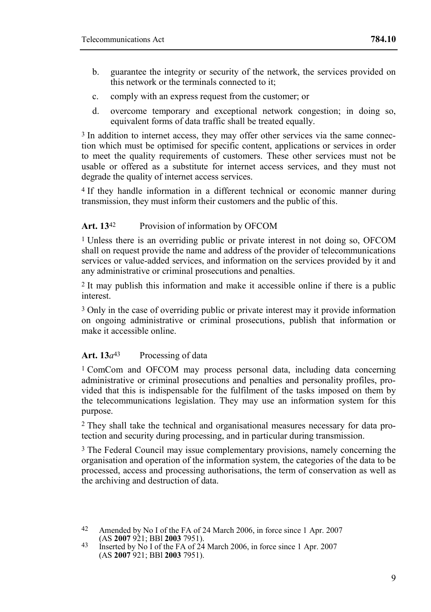- b. guarantee the integrity or security of the network, the services provided on this network or the terminals connected to it;
- c. comply with an express request from the customer; or
- d. overcome temporary and exceptional network congestion; in doing so, equivalent forms of data traffic shall be treated equally.

<sup>3</sup> In addition to internet access, they may offer other services via the same connection which must be optimised for specific content, applications or services in order to meet the quality requirements of customers. These other services must not be usable or offered as a substitute for internet access services, and they must not degrade the quality of internet access services.

4 If they handle information in a different technical or economic manner during transmission, they must inform their customers and the public of this.

## **Art. 13**42 Provision of information by OFCOM

1 Unless there is an overriding public or private interest in not doing so, OFCOM shall on request provide the name and address of the provider of telecommunications services or value-added services, and information on the services provided by it and any administrative or criminal prosecutions and penalties.

2 It may publish this information and make it accessible online if there is a public interest.

3 Only in the case of overriding public or private interest may it provide information on ongoing administrative or criminal prosecutions, publish that information or make it accessible online.

## Art.  $13a^{43}$  Processing of data

1 ComCom and OFCOM may process personal data, including data concerning administrative or criminal prosecutions and penalties and personality profiles, provided that this is indispensable for the fulfilment of the tasks imposed on them by the telecommunications legislation. They may use an information system for this purpose.

2 They shall take the technical and organisational measures necessary for data protection and security during processing, and in particular during transmission.

3 The Federal Council may issue complementary provisions, namely concerning the organisation and operation of the information system, the categories of the data to be processed, access and processing authorisations, the term of conservation as well as the archiving and destruction of data.

<sup>42</sup> Amended by No I of the FA of 24 March 2006, in force since 1 Apr. 2007 (AS **2007** 921; BBl **2003** 7951).

<sup>43</sup> Inserted by No I of the FA of 24 March 2006, in force since 1 Apr. 2007 (AS **2007** 921; BBl **2003** 7951).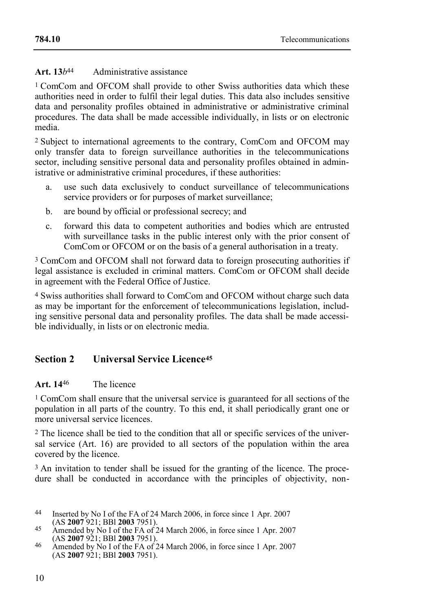## **Art. 13***b*44 Administrative assistance

1 ComCom and OFCOM shall provide to other Swiss authorities data which these authorities need in order to fulfil their legal duties. This data also includes sensitive data and personality profiles obtained in administrative or administrative criminal procedures. The data shall be made accessible individually, in lists or on electronic media.

2 Subject to international agreements to the contrary, ComCom and OFCOM may only transfer data to foreign surveillance authorities in the telecommunications sector, including sensitive personal data and personality profiles obtained in administrative or administrative criminal procedures, if these authorities:

- a. use such data exclusively to conduct surveillance of telecommunications service providers or for purposes of market surveillance;
- b. are bound by official or professional secrecy; and
- c. forward this data to competent authorities and bodies which are entrusted with surveillance tasks in the public interest only with the prior consent of ComCom or OFCOM or on the basis of a general authorisation in a treaty.

3 ComCom and OFCOM shall not forward data to foreign prosecuting authorities if legal assistance is excluded in criminal matters. ComCom or OFCOM shall decide in agreement with the Federal Office of Justice.

4 Swiss authorities shall forward to ComCom and OFCOM without charge such data as may be important for the enforcement of telecommunications legislation, including sensitive personal data and personality profiles. The data shall be made accessible individually, in lists or on electronic media.

## **Section 2 Universal Service Licence<sup>45</sup>**

## **Art. 14**46 The licence

1 ComCom shall ensure that the universal service is guaranteed for all sections of the population in all parts of the country. To this end, it shall periodically grant one or more universal service licences.

2 The licence shall be tied to the condition that all or specific services of the universal service (Art. 16) are provided to all sectors of the population within the area covered by the licence.

3 An invitation to tender shall be issued for the granting of the licence. The procedure shall be conducted in accordance with the principles of objectivity, non-

- 44 Inserted by No I of the FA of 24 March 2006, in force since 1 Apr. 2007 (AS **2007** 921; BBl **2003** 7951).
- 45 Amended by No I of the FA of 24 March 2006, in force since 1 Apr. 2007 (AS **2007** 921; BBl **2003** 7951).
- 46 Amended by No I of the FA of 24 March 2006, in force since 1 Apr. 2007 (AS **2007** 921; BBl **2003** 7951).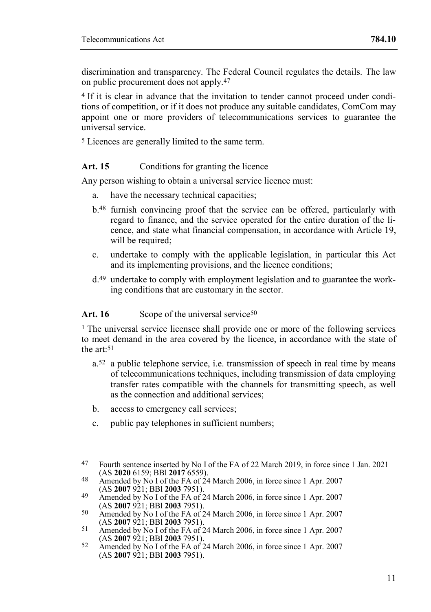discrimination and transparency. The Federal Council regulates the details. The law on public procurement does not apply.47

4 If it is clear in advance that the invitation to tender cannot proceed under conditions of competition, or if it does not produce any suitable candidates, ComCom may appoint one or more providers of telecommunications services to guarantee the universal service.

5 Licences are generally limited to the same term.

#### Art. 15 Conditions for granting the licence

Any person wishing to obtain a universal service licence must:

- a. have the necessary technical capacities;
- b.48 furnish convincing proof that the service can be offered, particularly with regard to finance, and the service operated for the entire duration of the licence, and state what financial compensation, in accordance with Article 19, will be required;
- c. undertake to comply with the applicable legislation, in particular this Act and its implementing provisions, and the licence conditions;
- d.49 undertake to comply with employment legislation and to guarantee the working conditions that are customary in the sector.

#### Art. 16 Scope of the universal service<sup>50</sup>

1 The universal service licensee shall provide one or more of the following services to meet demand in the area covered by the licence, in accordance with the state of the art:51

- a.52 a public telephone service, i.e. transmission of speech in real time by means of telecommunications techniques, including transmission of data employing transfer rates compatible with the channels for transmitting speech, as well as the connection and additional services;
- b. access to emergency call services;
- c. public pay telephones in sufficient numbers;

<sup>47</sup> Fourth sentence inserted by No I of the FA of 22 March 2019, in force since 1 Jan. 2021 (AS **2020** 6159; BBl **2017** 6559).

<sup>48</sup> Amended by No I of the FA of 24 March 2006, in force since 1 Apr. 2007 (AS **2007** 921; BBl **2003** 7951).

<sup>49</sup> Amended by No I of the FA of 24 March 2006, in force since 1 Apr. 2007 (AS **2007** 921; BBl **2003** 7951).

<sup>50</sup> Amended by No I of the FA of 24 March 2006, in force since 1 Apr. 2007 (AS **2007** 921; BBl **2003** 7951).

<sup>51</sup> Amended by No I of the FA of 24 March 2006, in force since 1 Apr. 2007 (AS **2007** 921; BBl **2003** 7951).

<sup>52</sup> Amended by No I of the FA of 24 March 2006, in force since 1 Apr. 2007 (AS **2007** 921; BBl **2003** 7951).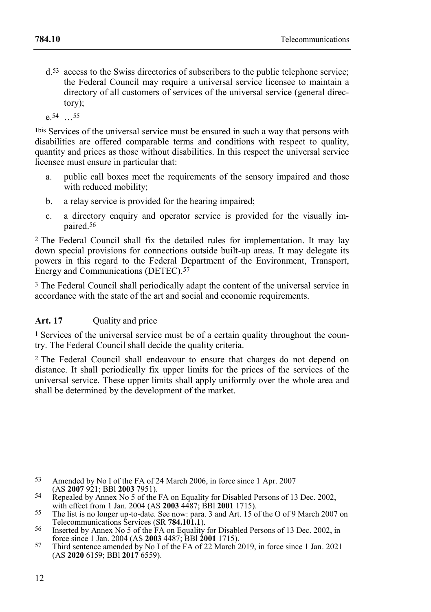d.53 access to the Swiss directories of subscribers to the public telephone service; the Federal Council may require a universal service licensee to maintain a directory of all customers of services of the universal service (general directory);

e.54 …55

1bis Services of the universal service must be ensured in such a way that persons with disabilities are offered comparable terms and conditions with respect to quality, quantity and prices as those without disabilities. In this respect the universal service licensee must ensure in particular that:

- a. public call boxes meet the requirements of the sensory impaired and those with reduced mobility;
- b. a relay service is provided for the hearing impaired;
- c. a directory enquiry and operator service is provided for the visually impaired.56

2 The Federal Council shall fix the detailed rules for implementation. It may lay down special provisions for connections outside built-up areas. It may delegate its powers in this regard to the Federal Department of the Environment, Transport, Energy and Communications (DETEC).57

3 The Federal Council shall periodically adapt the content of the universal service in accordance with the state of the art and social and economic requirements.

## Art. 17 Ouality and price

1 Services of the universal service must be of a certain quality throughout the country. The Federal Council shall decide the quality criteria.

2 The Federal Council shall endeavour to ensure that charges do not depend on distance. It shall periodically fix upper limits for the prices of the services of the universal service. These upper limits shall apply uniformly over the whole area and shall be determined by the development of the market.

53 Amended by No I of the FA of 24 March 2006, in force since 1 Apr. 2007 (AS **2007** 921; BBl **2003** 7951).

<sup>&</sup>lt;sup>54</sup> Repealed by Annex No 5 of the FA on Equality for Disabled Persons of 13 Dec. 2002, with effect from 1 Jan. 2004 (AS **2003** 4487; BBl **2001** 1715).

<sup>55</sup> The list is no longer up-to-date. See now: para. 3 and Art. 15 of the O of 9 March 2007 on Telecommunications Services (SR **784.101.1**).

<sup>56</sup> Inserted by Annex No 5 of the FA on Equality for Disabled Persons of 13 Dec. 2002, in force since 1 Jan. 2004 (AS **2003** 4487; BBl **2001** 1715).

<sup>57</sup> Third sentence amended by No I of the FA of 22 March 2019, in force since 1 Jan. 2021 (AS **2020** 6159; BBl **2017** 6559).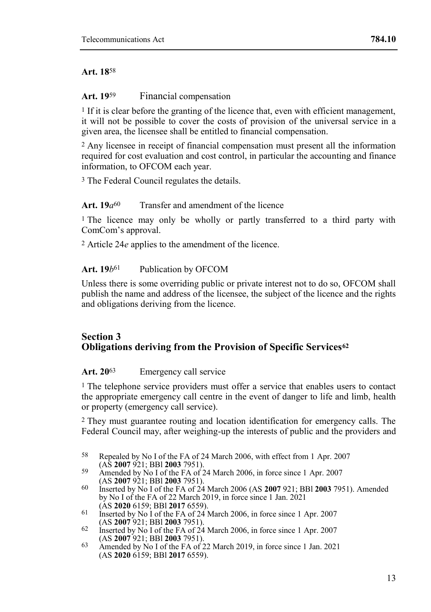## **Art. 18**58

#### **Art. 19**<sup>59</sup> Financial compensation

 $<sup>1</sup>$  If it is clear before the granting of the licence that, even with efficient management,</sup> it will not be possible to cover the costs of provision of the universal service in a given area, the licensee shall be entitled to financial compensation.

2 Any licensee in receipt of financial compensation must present all the information required for cost evaluation and cost control, in particular the accounting and finance information, to OFCOM each year.

3 The Federal Council regulates the details.

## **Art. 19***a*60 Transfer and amendment of the licence

<sup>1</sup> The licence may only be wholly or partly transferred to a third party with ComCom's approval.

2 Article 24*e* applies to the amendment of the licence.

## Art. 19*b*<sup>61</sup> Publication by OFCOM

Unless there is some overriding public or private interest not to do so, OFCOM shall publish the name and address of the licensee, the subject of the licence and the rights and obligations deriving from the licence.

## **Section 3 Obligations deriving from the Provision of Specific Services<sup>62</sup>**

## **Art. 20**63 Emergency call service

<sup>1</sup> The telephone service providers must offer a service that enables users to contact the appropriate emergency call centre in the event of danger to life and limb, health or property (emergency call service).

2 They must guarantee routing and location identification for emergency calls. The Federal Council may, after weighing-up the interests of public and the providers and

- 58 Repealed by No I of the FA of 24 March 2006, with effect from 1 Apr. 2007 (AS **2007** 921; BBl **2003** 7951).
- 59 Amended by No I of the FA of 24 March 2006, in force since 1 Apr. 2007 (AS **2007** 921; BBl **2003** 7951).
- 60 Inserted by No I of the FA of 24 March 2006 (AS **2007** 921; BBl **2003** 7951). Amended by No I of the FA of 22 March 2019, in force since 1 Jan. 2021 (AS **2020** 6159; BBl **2017** 6559).
- $61$  Inserted by No I of the FA of 24 March 2006, in force since 1 Apr. 2007 (AS **2007** 921; BBl **2003** 7951).
- 62 Inserted by No I of the FA of 24 March 2006, in force since 1 Apr. 2007 (AS **2007** 921; BBl **2003** 7951).
- 63 Amended by No I of the FA of 22 March 2019, in force since 1 Jan. 2021 (AS **2020** 6159; BBl **2017** 6559).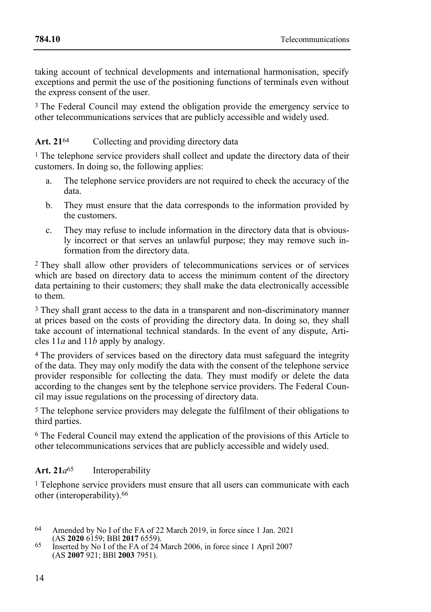taking account of technical developments and international harmonisation, specify exceptions and permit the use of the positioning functions of terminals even without the express consent of the user.

<sup>3</sup> The Federal Council may extend the obligation provide the emergency service to other telecommunications services that are publicly accessible and widely used.

## Art. 21<sup>64</sup> Collecting and providing directory data

<sup>1</sup> The telephone service providers shall collect and update the directory data of their customers. In doing so, the following applies:

- a. The telephone service providers are not required to check the accuracy of the data.
- b. They must ensure that the data corresponds to the information provided by the customers.
- c. They may refuse to include information in the directory data that is obviously incorrect or that serves an unlawful purpose; they may remove such information from the directory data.

2 They shall allow other providers of telecommunications services or of services which are based on directory data to access the minimum content of the directory data pertaining to their customers; they shall make the data electronically accessible to them.

3 They shall grant access to the data in a transparent and non-discriminatory manner at prices based on the costs of providing the directory data. In doing so, they shall take account of international technical standards. In the event of any dispute, Articles 11*a* and 11*b* apply by analogy.

4 The providers of services based on the directory data must safeguard the integrity of the data. They may only modify the data with the consent of the telephone service provider responsible for collecting the data. They must modify or delete the data according to the changes sent by the telephone service providers. The Federal Council may issue regulations on the processing of directory data.

5 The telephone service providers may delegate the fulfilment of their obligations to third parties.

6 The Federal Council may extend the application of the provisions of this Article to other telecommunications services that are publicly accessible and widely used.

## **Art. 21***a*65 Interoperability

<sup>1</sup> Telephone service providers must ensure that all users can communicate with each other (interoperability).66

<sup>64</sup> Amended by No I of the FA of 22 March 2019, in force since 1 Jan. 2021 (AS **2020** 6159; BBl **2017** 6559).

<sup>65</sup> Inserted by No I of the FA of 24 March 2006, in force since 1 April 2007 (AS **2007** 921; BBl **2003** 7951).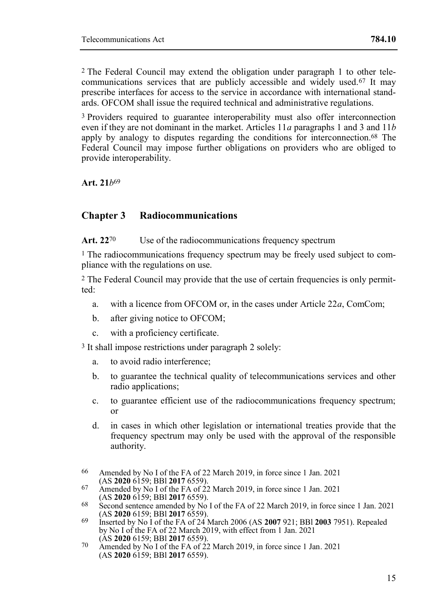2 The Federal Council may extend the obligation under paragraph 1 to other telecommunications services that are publicly accessible and widely used.67 It may prescribe interfaces for access to the service in accordance with international standards. OFCOM shall issue the required technical and administrative regulations.

3 Providers required to guarantee interoperability must also offer interconnection even if they are not dominant in the market. Articles 11*a* paragraphs 1 and 3 and 11*b* apply by analogy to disputes regarding the conditions for interconnection.68 The Federal Council may impose further obligations on providers who are obliged to provide interoperability.

**Art. 21***b*69

## **Chapter 3 Radiocommunications**

Art. 22<sup>70</sup> Use of the radiocommunications frequency spectrum

1 The radiocommunications frequency spectrum may be freely used subject to compliance with the regulations on use.

2 The Federal Council may provide that the use of certain frequencies is only permitted:

- a. with a licence from OFCOM or, in the cases under Article 22*a*, ComCom;
- b. after giving notice to OFCOM;
- c. with a proficiency certificate.
- 3 It shall impose restrictions under paragraph 2 solely:
	- a. to avoid radio interference;
	- b. to guarantee the technical quality of telecommunications services and other radio applications:
	- c. to guarantee efficient use of the radiocommunications frequency spectrum; or
	- d. in cases in which other legislation or international treaties provide that the frequency spectrum may only be used with the approval of the responsible authority.
- 66 Amended by No I of the FA of 22 March 2019, in force since 1 Jan. 2021 (AS **2020** 6159; BBl **2017** 6559).
- $67$  Amended by No I of the FA of 22 March 2019, in force since 1 Jan. 2021 (AS **2020** 6159; BBl **2017** 6559).
- 68 Second sentence amended by No I of the FA of 22 March 2019, in force since 1 Jan. 2021 (AS **2020** 6159; BBl **2017** 6559).
- 69 Inserted by No I of the FA of 24 March 2006 (AS **2007** 921; BBl **2003** 7951). Repealed by No I of the FA of 22 March 2019, with effect from 1 Jan. 2021 (AS **2020** 6159; BBl **2017** 6559).
- $70$  Amended by No I of the FA of 22 March 2019, in force since 1 Jan. 2021 (AS **2020** 6159; BBl **2017** 6559).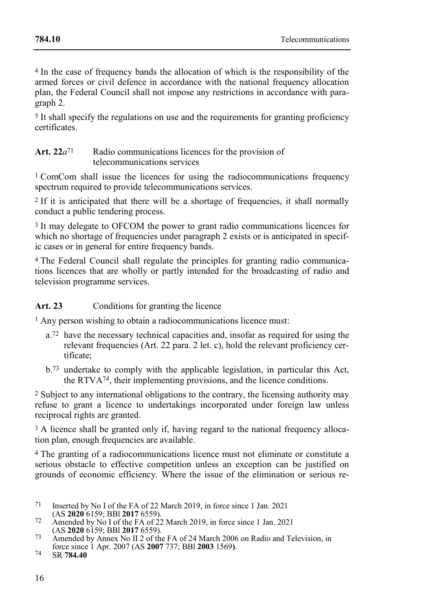4 In the case of frequency bands the allocation of which is the responsibility of the armed forces or civil defence in accordance with the national frequency allocation plan, the Federal Council shall not impose any restrictions in accordance with paragraph 2.

5 It shall specify the regulations on use and the requirements for granting proficiency certificates.

#### Art. 22*a*<sup>71</sup> Radio communications licences for the provision of telecommunications services

1 ComCom shall issue the licences for using the radiocommunications frequency spectrum required to provide telecommunications services.

<sup>2</sup> If it is anticipated that there will be a shortage of frequencies, it shall normally conduct a public tendering process.

<sup>3</sup> It may delegate to OFCOM the power to grant radio communications licences for which no shortage of frequencies under paragraph 2 exists or is anticipated in specific cases or in general for entire frequency bands.

4 The Federal Council shall regulate the principles for granting radio communications licences that are wholly or partly intended for the broadcasting of radio and television programme services.

Art. 23 Conditions for granting the licence

1 Any person wishing to obtain a radiocommunications licence must:

- a.72 have the necessary technical capacities and, insofar as required for using the relevant frequencies (Art. 22 para. 2 let. c), hold the relevant proficiency certificate;
- b.73 undertake to comply with the applicable legislation, in particular this Act, the RTVA74, their implementing provisions, and the licence conditions.

2 Subject to any international obligations to the contrary, the licensing authority may refuse to grant a licence to undertakings incorporated under foreign law unless reciprocal rights are granted.

<sup>3</sup> A licence shall be granted only if, having regard to the national frequency allocation plan, enough frequencies are available.

4 The granting of a radiocommunications licence must not eliminate or constitute a serious obstacle to effective competition unless an exception can be justified on grounds of economic efficiency. Where the issue of the elimination or serious re-

- 71 Inserted by No I of the FA of 22 March 2019, in force since 1 Jan. 2021 (AS **2020** 6159; BBl **2017** 6559).
- 72 Amended by No I of the FA of 22 March 2019, in force since 1 Jan. 2021 (AS **2020** 6159; BBl **2017** 6559).
- <sup>73</sup> Amended by Annex No II 2 of the FA of 24 March 2006 on Radio and Television, in force since 1 Apr. 2007 (AS **2007** 737; BBl **2003** 1569**)**.

<sup>74</sup> SR **784.40**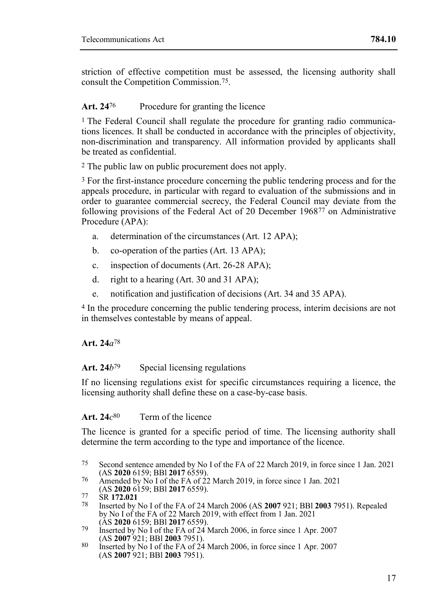**[784.10](#page-0-0)**

striction of effective competition must be assessed, the licensing authority shall consult the Competition Commission.75.

## Art. 24<sup>76</sup> Procedure for granting the licence

1 The Federal Council shall regulate the procedure for granting radio communications licences. It shall be conducted in accordance with the principles of objectivity, non-discrimination and transparency. All information provided by applicants shall be treated as confidential.

2 The public law on public procurement does not apply.

3 For the first-instance procedure concerning the public tendering process and for the appeals procedure, in particular with regard to evaluation of the submissions and in order to guarantee commercial secrecy, the Federal Council may deviate from the following provisions of the Federal Act of 20 December 196877 on Administrative Procedure (APA):

- a. determination of the circumstances (Art. 12 APA);
- b. co-operation of the parties (Art. 13 APA);
- c. inspection of documents (Art. 26-28 APA);
- d. right to a hearing (Art. 30 and 31 APA);
- e. notification and justification of decisions (Art. 34 and 35 APA).

4 In the procedure concerning the public tendering process, interim decisions are not in themselves contestable by means of appeal.

## **Art. 24***a*78

## **Art. 24***b*79 Special licensing regulations

If no licensing regulations exist for specific circumstances requiring a licence, the licensing authority shall define these on a case-by-case basis.

#### **Art. 24***c* Term of the licence

The licence is granted for a specific period of time. The licensing authority shall determine the term according to the type and importance of the licence.

76 Amended by No I of the FA of 22 March 2019, in force since 1 Jan. 2021 (AS **2020** 6159; BBl **2017** 6559).

<sup>75</sup> Second sentence amended by No I of the FA of 22 March 2019, in force since 1 Jan. 2021 (AS **2020** 6159; BBl **2017** 6559).

<sup>77</sup> SR **172.021**

<sup>78</sup> Inserted by No I of the FA of 24 March 2006 (AS **2007** 921; BBl **2003** 7951). Repealed by No I of the FA of 22 March 2019, with effect from 1 Jan. 2021 (AS **2020** 6159; BBl **2017** 6559).

<sup>79</sup> Inserted by No I of the FA of 24 March 2006, in force since 1 Apr. 2007 (AS **2007** 921; BBl **2003** 7951).

<sup>80</sup> Inserted by No I of the FA of 24 March 2006, in force since 1 Apr. 2007 (AS **2007** 921; BBl **2003** 7951).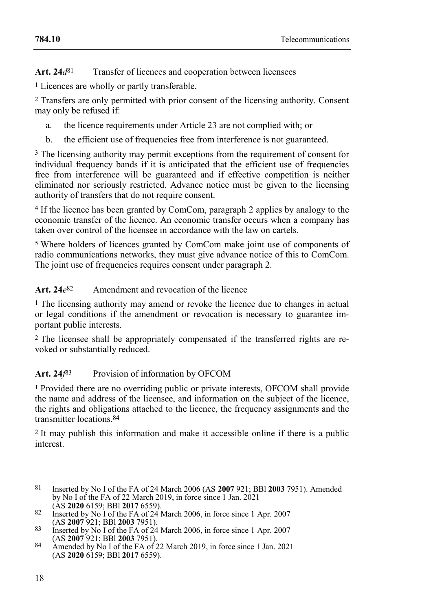Art. 24 $d^{81}$  Transfer of licences and cooperation between licensees

1 Licences are wholly or partly transferable.

2 Transfers are only permitted with prior consent of the licensing authority. Consent may only be refused if:

- a. the licence requirements under Article 23 are not complied with; or
- b. the efficient use of frequencies free from interference is not guaranteed.

3 The licensing authority may permit exceptions from the requirement of consent for individual frequency bands if it is anticipated that the efficient use of frequencies free from interference will be guaranteed and if effective competition is neither eliminated nor seriously restricted. Advance notice must be given to the licensing authority of transfers that do not require consent.

4 If the licence has been granted by ComCom, paragraph 2 applies by analogy to the economic transfer of the licence. An economic transfer occurs when a company has taken over control of the licensee in accordance with the law on cartels.

5 Where holders of licences granted by ComCom make joint use of components of radio communications networks, they must give advance notice of this to ComCom. The joint use of frequencies requires consent under paragraph 2.

#### Art.  $24e^{82}$ Amendment and revocation of the licence

1 The licensing authority may amend or revoke the licence due to changes in actual or legal conditions if the amendment or revocation is necessary to guarantee important public interests.

2 The licensee shall be appropriately compensated if the transferred rights are revoked or substantially reduced.

#### **Art. 24***f* Provision of information by OFCOM

1 Provided there are no overriding public or private interests, OFCOM shall provide the name and address of the licensee, and information on the subject of the licence, the rights and obligations attached to the licence, the frequency assignments and the transmitter locations 84

2 It may publish this information and make it accessible online if there is a public interest.

- 81 Inserted by No I of the FA of 24 March 2006 (AS **2007** 921; BBl **2003** 7951). Amended by No I of the FA of 22 March 2019, in force since 1 Jan. 2021 (AS **2020** 6159; BBl **2017** 6559).
- 82 Inserted by No I of the FA of 24 March 2006, in force since 1 Apr. 2007 (AS **2007** 921; BBl **2003** 7951).
- 83 Inserted by No I of the FA of 24 March 2006, in force since 1 Apr. 2007 (AS **2007** 921; BBl **2003** 7951).
- 84 Amended by No I of the FA of 22 March 2019, in force since 1 Jan. 2021 (AS **2020** 6159; BBl **2017** 6559).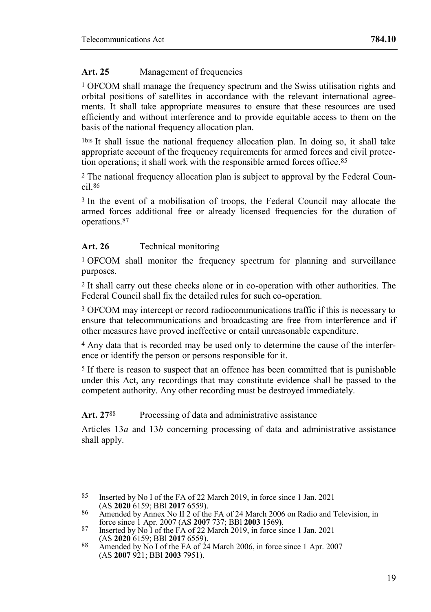## Art. 25 Management of frequencies

1 OFCOM shall manage the frequency spectrum and the Swiss utilisation rights and orbital positions of satellites in accordance with the relevant international agreements. It shall take appropriate measures to ensure that these resources are used efficiently and without interference and to provide equitable access to them on the basis of the national frequency allocation plan.

1bis It shall issue the national frequency allocation plan. In doing so, it shall take appropriate account of the frequency requirements for armed forces and civil protection operations; it shall work with the responsible armed forces office.85

2 The national frequency allocation plan is subject to approval by the Federal Council.86

<sup>3</sup> In the event of a mobilisation of troops, the Federal Council may allocate the armed forces additional free or already licensed frequencies for the duration of operations.87

## Art. 26 Technical monitoring

1 OFCOM shall monitor the frequency spectrum for planning and surveillance purposes.

2 It shall carry out these checks alone or in co-operation with other authorities. The Federal Council shall fix the detailed rules for such co-operation.

3 OFCOM may intercept or record radiocommunications traffic if this is necessary to ensure that telecommunications and broadcasting are free from interference and if other measures have proved ineffective or entail unreasonable expenditure.

4 Any data that is recorded may be used only to determine the cause of the interference or identify the person or persons responsible for it.

5 If there is reason to suspect that an offence has been committed that is punishable under this Act, any recordings that may constitute evidence shall be passed to the competent authority. Any other recording must be destroyed immediately.

Art. 27<sup>88</sup> Processing of data and administrative assistance

Articles 13*a* and 13*b* concerning processing of data and administrative assistance shall apply.

<sup>85</sup> Inserted by No I of the FA of 22 March 2019, in force since 1 Jan. 2021 (AS **2020** 6159; BBl **2017** 6559).

<sup>86</sup> Amended by Annex No II 2 of the FA of 24 March 2006 on Radio and Television, in force since 1 Apr. 2007 (AS **2007** 737; BBl **2003** 1569**)**. 87 Inserted by No I of the FA of 22 March 2019, in force since 1 Jan. 2021

<sup>(</sup>AS **2020** 6159; BBl **2017** 6559).

<sup>88</sup> Amended by No I of the FA of 24 March 2006, in force since 1 Apr. 2007 (AS **2007** 921; BBl **2003** 7951).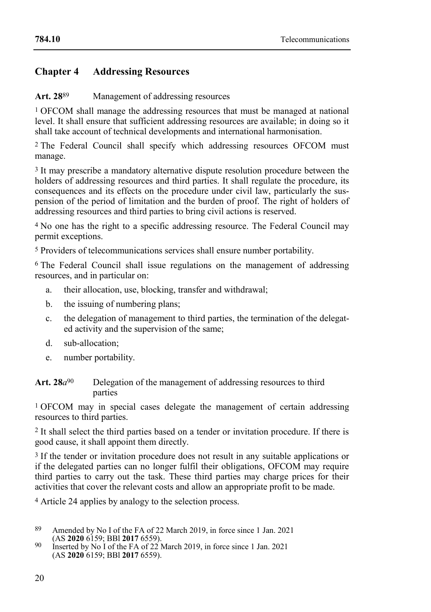## **Chapter 4 Addressing Resources**

## **Art. 28**89 Management of addressing resources

1 OFCOM shall manage the addressing resources that must be managed at national level. It shall ensure that sufficient addressing resources are available; in doing so it shall take account of technical developments and international harmonisation.

2 The Federal Council shall specify which addressing resources OFCOM must manage.

<sup>3</sup> It may prescribe a mandatory alternative dispute resolution procedure between the holders of addressing resources and third parties. It shall regulate the procedure, its consequences and its effects on the procedure under civil law, particularly the suspension of the period of limitation and the burden of proof. The right of holders of addressing resources and third parties to bring civil actions is reserved.

4 No one has the right to a specific addressing resource. The Federal Council may permit exceptions.

5 Providers of telecommunications services shall ensure number portability.

6 The Federal Council shall issue regulations on the management of addressing resources, and in particular on:

- a. their allocation, use, blocking, transfer and withdrawal;
- b. the issuing of numbering plans;
- c. the delegation of management to third parties, the termination of the delegated activity and the supervision of the same;
- d. sub-allocation;
- e. number portability.

**Art. 28***a*90 Delegation of the management of addressing resources to third parties

1 OFCOM may in special cases delegate the management of certain addressing resources to third parties.

2 It shall select the third parties based on a tender or invitation procedure. If there is good cause, it shall appoint them directly.

<sup>3</sup> If the tender or invitation procedure does not result in any suitable applications or if the delegated parties can no longer fulfil their obligations, OFCOM may require third parties to carry out the task. These third parties may charge prices for their activities that cover the relevant costs and allow an appropriate profit to be made.

4 Article 24 applies by analogy to the selection process.

<sup>89</sup> Amended by No I of the FA of 22 March 2019, in force since 1 Jan. 2021 (AS **2020** 6159; BBl **2017** 6559).

<sup>90</sup> Inserted by No I of the FA of 22 March 2019, in force since 1 Jan. 2021 (AS **2020** 6159; BBl **2017** 6559).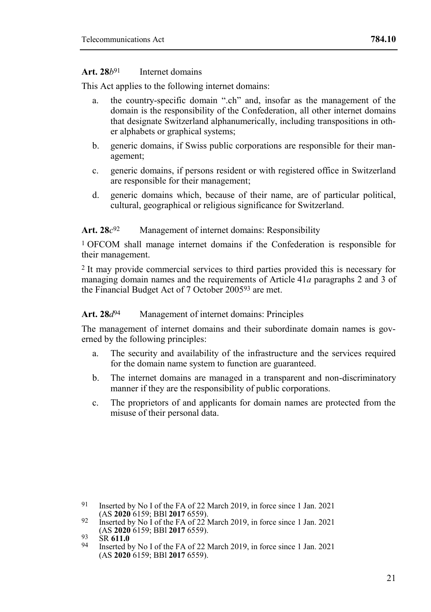#### **Art. 28***b*91 Internet domains

This Act applies to the following internet domains:

- a. the country-specific domain ".ch" and, insofar as the management of the domain is the responsibility of the Confederation, all other internet domains that designate Switzerland alphanumerically, including transpositions in other alphabets or graphical systems;
- b. generic domains, if Swiss public corporations are responsible for their management;
- c. generic domains, if persons resident or with registered office in Switzerland are responsible for their management;
- d. generic domains which, because of their name, are of particular political, cultural, geographical or religious significance for Switzerland.

#### **Art. 28***c* Management of internet domains: Responsibility

1 OFCOM shall manage internet domains if the Confederation is responsible for their management.

2 It may provide commercial services to third parties provided this is necessary for managing domain names and the requirements of Article 41*a* paragraphs 2 and 3 of the Financial Budget Act of 7 October 200593 are met.

## **Art. 28***d*94 Management of internet domains: Principles

The management of internet domains and their subordinate domain names is governed by the following principles:

- a. The security and availability of the infrastructure and the services required for the domain name system to function are guaranteed.
- b. The internet domains are managed in a transparent and non-discriminatory manner if they are the responsibility of public corporations.
- c. The proprietors of and applicants for domain names are protected from the misuse of their personal data.

<sup>91</sup> Inserted by No I of the FA of 22 March 2019, in force since 1 Jan. 2021 (AS **2020** 6159; BBl **2017** 6559).

<sup>92</sup> Inserted by No I of the FA of 22 March 2019, in force since 1 Jan. 2021 (AS **2020** 6159; BBl **2017** 6559).

<sup>93</sup> SR **611.0**

<sup>94</sup> Inserted by No I of the FA of 22 March 2019, in force since 1 Jan. 2021 (AS **2020** 6159; BBl **2017** 6559).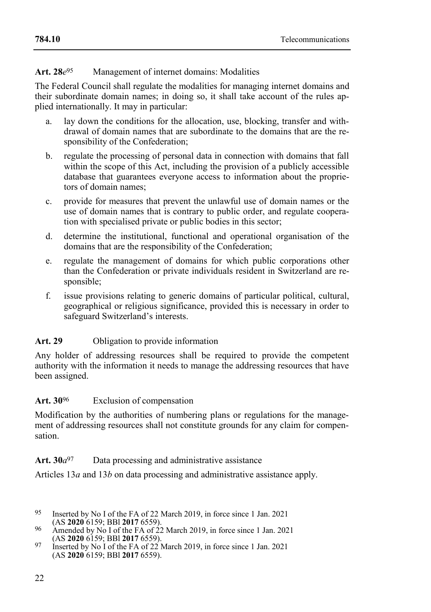#### **Art. 28***e* Management of internet domains: Modalities

The Federal Council shall regulate the modalities for managing internet domains and their subordinate domain names; in doing so, it shall take account of the rules applied internationally. It may in particular:

- a. lay down the conditions for the allocation, use, blocking, transfer and withdrawal of domain names that are subordinate to the domains that are the responsibility of the Confederation;
- b. regulate the processing of personal data in connection with domains that fall within the scope of this Act, including the provision of a publicly accessible database that guarantees everyone access to information about the proprietors of domain names;
- c. provide for measures that prevent the unlawful use of domain names or the use of domain names that is contrary to public order, and regulate cooperation with specialised private or public bodies in this sector;
- d. determine the institutional, functional and operational organisation of the domains that are the responsibility of the Confederation;
- e. regulate the management of domains for which public corporations other than the Confederation or private individuals resident in Switzerland are responsible;
- f. issue provisions relating to generic domains of particular political, cultural, geographical or religious significance, provided this is necessary in order to safeguard Switzerland's interests.

## Art. 29 Obligation to provide information

Any holder of addressing resources shall be required to provide the competent authority with the information it needs to manage the addressing resources that have been assigned.

## Art. 30<sup>96</sup> Exclusion of compensation

Modification by the authorities of numbering plans or regulations for the management of addressing resources shall not constitute grounds for any claim for compensation.

## **Art. 30***a*97 Data processing and administrative assistance

Articles 13*a* and 13*b* on data processing and administrative assistance apply.

<sup>95</sup> Inserted by No I of the FA of 22 March 2019, in force since 1 Jan. 2021 (AS **2020** 6159; BBl **2017** 6559).

<sup>96</sup> Amended by No I of the FA of 22 March 2019, in force since 1 Jan. 2021 (AS **2020** 6159; BBl **2017** 6559).

<sup>97</sup> Inserted by No I of the FA of 22 March 2019, in force since 1 Jan. 2021 (AS **2020** 6159; BBl **2017** 6559).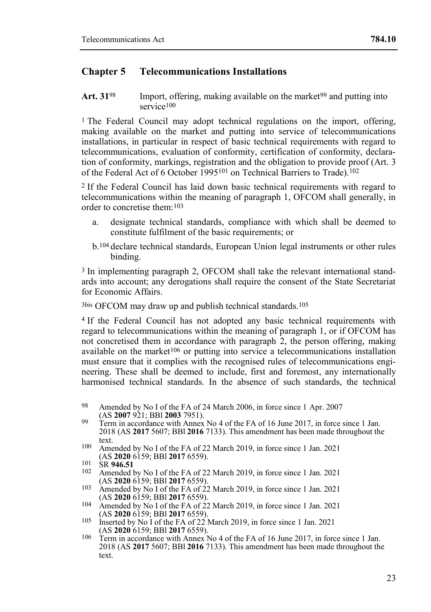## **Chapter 5 Telecommunications Installations**

Art. 31<sup>98</sup> Import, offering, making available on the market<sup>99</sup> and putting into service<sup>100</sup>

<sup>1</sup> The Federal Council may adopt technical regulations on the import, offering, making available on the market and putting into service of telecommunications installations, in particular in respect of basic technical requirements with regard to telecommunications, evaluation of conformity, certification of conformity, declaration of conformity, markings, registration and the obligation to provide proof (Art. 3 of the Federal Act of 6 October 1995101 on Technical Barriers to Trade).102

2 If the Federal Council has laid down basic technical requirements with regard to telecommunications within the meaning of paragraph 1, OFCOM shall generally, in order to concretise them:103

- a. designate technical standards, compliance with which shall be deemed to constitute fulfilment of the basic requirements; or
- b.104 declare technical standards, European Union legal instruments or other rules binding.

3 In implementing paragraph 2, OFCOM shall take the relevant international standards into account; any derogations shall require the consent of the State Secretariat for Economic Affairs.

3bis OFCOM may draw up and publish technical standards.105

4 If the Federal Council has not adopted any basic technical requirements with regard to telecommunications within the meaning of paragraph 1, or if OFCOM has not concretised them in accordance with paragraph 2, the person offering, making available on the market<sup>106</sup> or putting into service a telecommunications installation must ensure that it complies with the recognised rules of telecommunications engineering. These shall be deemed to include, first and foremost, any internationally harmonised technical standards. In the absence of such standards, the technical

- 99 Term in accordance with Annex No 4 of the FA of 16 June 2017, in force since 1 Jan. 2018 (AS **2017** 5607; BBl **2016** 7133). This amendment has been made throughout the text.
- 100 Amended by No I of the FA of 22 March 2019, in force since 1 Jan. 2021 (AS **2020** 6159; BBl **2017** 6559).
- 101 SR **946.51**
- Amended by No I of the FA of 22 March 2019, in force since 1 Jan. 2021 (AS **2020** 6159; BBl **2017** 6559).
- 103 Amended by No I of the FA of 22 March 2019, in force since 1 Jan. 2021 (AS **2020** 6159; BBl **2017** 6559).
- 104 Amended by No I of the FA of 22 March 2019, in force since 1 Jan. 2021 (AS **2020** 6159; BBl **2017** 6559).
- 105 Inserted by No I of the FA of 22 March 2019, in force since 1 Jan. 2021
- (AS **2020** 6159; BBl **2017** 6559). 106 Term in accordance with Annex No 4 of the FA of 16 June 2017, in force since 1 Jan. 2018 (AS **2017** 5607; BBl **2016** 7133). This amendment has been made throughout the text.

<sup>98</sup> Amended by No I of the FA of 24 March 2006, in force since 1 Apr. 2007 (AS **2007** 921; BBl **2003** 7951).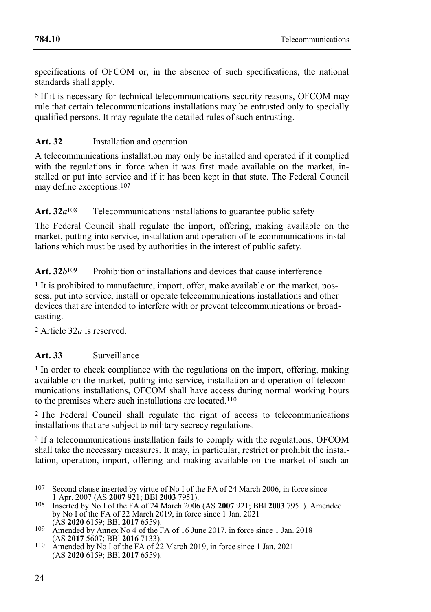specifications of OFCOM or, in the absence of such specifications, the national standards shall apply.

5 If it is necessary for technical telecommunications security reasons, OFCOM may rule that certain telecommunications installations may be entrusted only to specially qualified persons. It may regulate the detailed rules of such entrusting.

## **Art. 32** Installation and operation

A telecommunications installation may only be installed and operated if it complied with the regulations in force when it was first made available on the market, installed or put into service and if it has been kept in that state. The Federal Council may define exceptions.107

Art. 32*a*<sup>108</sup> Telecommunications installations to guarantee public safety

The Federal Council shall regulate the import, offering, making available on the market, putting into service, installation and operation of telecommunications installations which must be used by authorities in the interest of public safety.

Art. 32*b*<sup>109</sup> Prohibition of installations and devices that cause interference

1 It is prohibited to manufacture, import, offer, make available on the market, possess, put into service, install or operate telecommunications installations and other devices that are intended to interfere with or prevent telecommunications or broadcasting.

2 Article 32*a* is reserved.

## **Art. 33** Surveillance

<sup>1</sup> In order to check compliance with the regulations on the import, offering, making available on the market, putting into service, installation and operation of telecommunications installations, OFCOM shall have access during normal working hours to the premises where such installations are located.110

2 The Federal Council shall regulate the right of access to telecommunications installations that are subject to military secrecy regulations.

3 If a telecommunications installation fails to comply with the regulations, OFCOM shall take the necessary measures. It may, in particular, restrict or prohibit the installation, operation, import, offering and making available on the market of such an

- 107 Second clause inserted by virtue of No I of the FA of 24 March 2006, in force since 1 Apr. 2007 (AS **2007** 921; BBl **2003** 7951).
- 108 Inserted by No I of the FA of 24 March 2006 (AS **2007** 921; BBl **2003** 7951). Amended by No I of the FA of 22 March 2019, in force since 1 Jan. 2021 (AS **2020** 6159; BBl **2017** 6559).
- 109 Amended by Annex No 4 of the FA of 16 June 2017, in force since 1 Jan. 2018 (AS **2017** 5607; BBl **2016** 7133).
- 110 Amended by No I of the FA of 22 March 2019, in force since 1 Jan. 2021 (AS **2020** 6159; BBl **2017** 6559).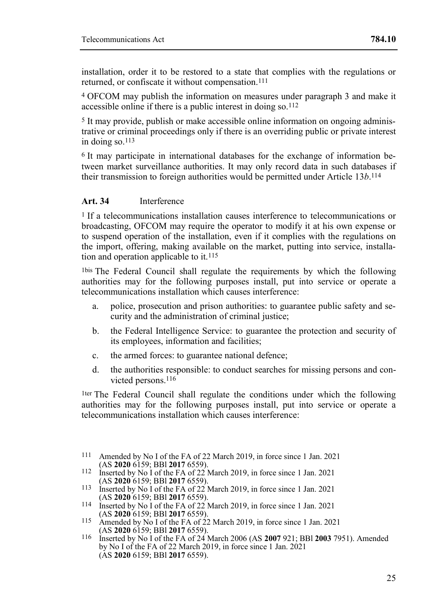installation, order it to be restored to a state that complies with the regulations or returned, or confiscate it without compensation.<sup>111</sup>

4 OFCOM may publish the information on measures under paragraph 3 and make it accessible online if there is a public interest in doing so.112

5 It may provide, publish or make accessible online information on ongoing administrative or criminal proceedings only if there is an overriding public or private interest in doing so.113

6 It may participate in international databases for the exchange of information between market surveillance authorities. It may only record data in such databases if their transmission to foreign authorities would be permitted under Article 13*b*. 114

#### **Art. 34** Interference

1 If a telecommunications installation causes interference to telecommunications or broadcasting, OFCOM may require the operator to modify it at his own expense or to suspend operation of the installation, even if it complies with the regulations on the import, offering, making available on the market, putting into service, installation and operation applicable to it. $115$ 

1bis The Federal Council shall regulate the requirements by which the following authorities may for the following purposes install, put into service or operate a telecommunications installation which causes interference:

- a. police, prosecution and prison authorities: to guarantee public safety and security and the administration of criminal justice;
- b. the Federal Intelligence Service: to guarantee the protection and security of its employees, information and facilities;
- c. the armed forces: to guarantee national defence;
- d. the authorities responsible: to conduct searches for missing persons and convicted persons.<sup>116</sup>

1ter The Federal Council shall regulate the conditions under which the following authorities may for the following purposes install, put into service or operate a telecommunications installation which causes interference:

- 111 Amended by No I of the FA of 22 March 2019, in force since 1 Jan. 2021 (AS **2020** 6159; BBl **2017** 6559).
- 112 Inserted by No I of the FA of 22 March 2019, in force since 1 Jan. 2021 (AS **2020** 6159; BBl **2017** 6559).
- 113 Inserted by No I of the FA of 22 March 2019, in force since 1 Jan. 2021
- (AS **2020** 6159; BBl **2017** 6559). 114 Inserted by No I of the FA of 22 March 2019, in force since 1 Jan. 2021 (AS **2020** 6159; BBl **2017** 6559).
- 115 Amended by No I of the FA of 22 March 2019, in force since 1 Jan. 2021 (AS **2020** 6159; BBl **2017** 6559).
- 116 Inserted by No I of the FA of 24 March 2006 (AS **2007** 921; BBl **2003** 7951). Amended by No I of the FA of 22 March 2019, in force since 1 Jan. 2021 (AS **2020** 6159; BBl **2017** 6559).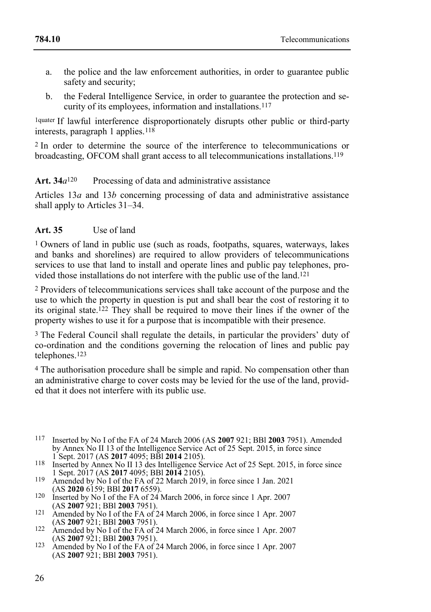- a. the police and the law enforcement authorities, in order to guarantee public safety and security;
- b. the Federal Intelligence Service, in order to guarantee the protection and security of its employees, information and installations.117

1quater If lawful interference disproportionately disrupts other public or third-party interests, paragraph 1 applies.118

2 In order to determine the source of the interference to telecommunications or broadcasting, OFCOM shall grant access to all telecommunications installations.119

## **Art. 34***a*120 Processing of data and administrative assistance

Articles 13*a* and 13*b* concerning processing of data and administrative assistance shall apply to Articles 31–34.

## **Art. 35** Use of land

1 Owners of land in public use (such as roads, footpaths, squares, waterways, lakes and banks and shorelines) are required to allow providers of telecommunications services to use that land to install and operate lines and public pay telephones, provided those installations do not interfere with the public use of the land.121

2 Providers of telecommunications services shall take account of the purpose and the use to which the property in question is put and shall bear the cost of restoring it to its original state.122 They shall be required to move their lines if the owner of the property wishes to use it for a purpose that is incompatible with their presence.

3 The Federal Council shall regulate the details, in particular the providers' duty of co-ordination and the conditions governing the relocation of lines and public pay telephones.123

4 The authorisation procedure shall be simple and rapid. No compensation other than an administrative charge to cover costs may be levied for the use of the land, provided that it does not interfere with its public use.

- 117 Inserted by No I of the FA of 24 March 2006 (AS **2007** 921; BBl **2003** 7951). Amended by Annex No II 13 of the Intelligence Service Act of 25 Sept. 2015, in force since 1 Sept. 2017 (AS **2017** 4095; BBl **2014** 2105).
- 118 Inserted by Annex No II 13 des Intelligence Service Act of 25 Sept. 2015, in force since 1 Sept. 2017 (AS **2017** 4095; BBl **2014** 2105).
- 119 Amended by No I of the FA of 22 March 2019, in force since 1 Jan. 2021 (AS **2020** 6159; BBl **2017** 6559).
- 120 Inserted by No I of the FA of 24 March 2006, in force since 1 Apr. 2007 (AS **2007** 921; BBl **2003** 7951).
- 121 Amended by No I of the FA of 24 March 2006, in force since 1 Apr. 2007 (AS **2007** 921; BBl **2003** 7951).
- 122 Amended by No I of the FA of 24 March 2006, in force since 1 Apr. 2007 (AS **2007** 921; BBl **2003** 7951).
- 123 Amended by No I of the FA of 24 March 2006, in force since 1 Apr. 2007 (AS **2007** 921; BBl **2003** 7951).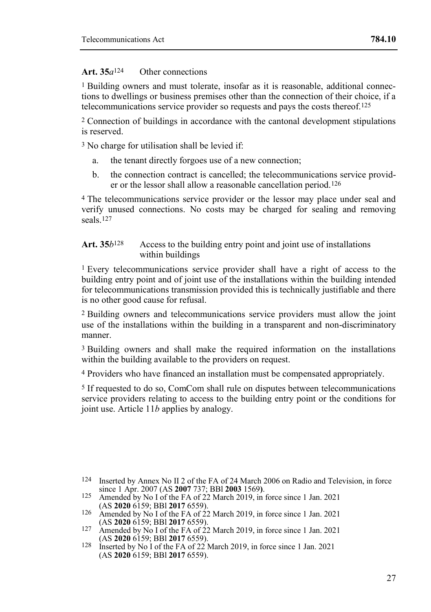## **Art. 35***a*124 Other connections

1 Building owners and must tolerate, insofar as it is reasonable, additional connections to dwellings or business premises other than the connection of their choice, if a telecommunications service provider so requests and pays the costs thereof.125

2 Connection of buildings in accordance with the cantonal development stipulations is reserved.

3 No charge for utilisation shall be levied if:

- a. the tenant directly forgoes use of a new connection;
- b. the connection contract is cancelled; the telecommunications service provider or the lessor shall allow a reasonable cancellation period.126

4 The telecommunications service provider or the lessor may place under seal and verify unused connections. No costs may be charged for sealing and removing seals.127

#### **Art. 35***b*128 Access to the building entry point and joint use of installations within buildings

1 Every telecommunications service provider shall have a right of access to the building entry point and of joint use of the installations within the building intended for telecommunications transmission provided this is technically justifiable and there is no other good cause for refusal.

2 Building owners and telecommunications service providers must allow the joint use of the installations within the building in a transparent and non-discriminatory manner.

3 Building owners and shall make the required information on the installations within the building available to the providers on request.

4 Providers who have financed an installation must be compensated appropriately.

5 If requested to do so, ComCom shall rule on disputes between telecommunications service providers relating to access to the building entry point or the conditions for joint use. Article 11*b* applies by analogy.

<sup>124</sup> Inserted by Annex No II 2 of the FA of 24 March 2006 on Radio and Television, in force since 1 Apr. 2007 (AS **2007** 737; BBl **2003** 1569**)**.

<sup>125</sup> Amended by No I of the FA of 22 March 2019, in force since 1 Jan. 2021 (AS **2020** 6159; BBl **2017** 6559).

<sup>126</sup> Amended by No I of the FA of 22 March 2019, in force since 1 Jan. 2021 (AS **2020** 6159; BBl **2017** 6559).

<sup>127</sup> Amended by No I of the FA of 22 March 2019, in force since 1 Jan. 2021 (AS **2020** 6159; BBl **2017** 6559).

<sup>128</sup> Inserted by No I of the FA of 22 March 2019, in force since 1 Jan. 2021 (AS **2020** 6159; BBl **2017** 6559).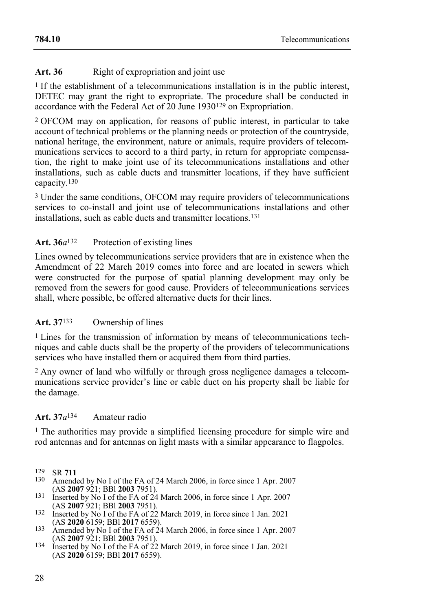## Art. 36 Right of expropriation and joint use

<sup>1</sup> If the establishment of a telecommunications installation is in the public interest, DETEC may grant the right to expropriate. The procedure shall be conducted in accordance with the Federal Act of 20 June 1930129 on Expropriation.

2 OFCOM may on application, for reasons of public interest, in particular to take account of technical problems or the planning needs or protection of the countryside, national heritage, the environment, nature or animals, require providers of telecommunications services to accord to a third party, in return for appropriate compensation, the right to make joint use of its telecommunications installations and other installations, such as cable ducts and transmitter locations, if they have sufficient capacity. 130

3 Under the same conditions, OFCOM may require providers of telecommunications services to co-install and joint use of telecommunications installations and other installations, such as cable ducts and transmitter locations.131

## Art. 36*a*<sup>132</sup> Protection of existing lines

Lines owned by telecommunications service providers that are in existence when the Amendment of 22 March 2019 comes into force and are located in sewers which were constructed for the purpose of spatial planning development may only be removed from the sewers for good cause. Providers of telecommunications services shall, where possible, be offered alternative ducts for their lines.

## **Art. 37**133 Ownership of lines

<sup>1</sup> Lines for the transmission of information by means of telecommunications techniques and cable ducts shall be the property of the providers of telecommunications services who have installed them or acquired them from third parties.

2 Any owner of land who wilfully or through gross negligence damages a telecommunications service provider's line or cable duct on his property shall be liable for the damage.

## **Art. 37***a*134 Amateur radio

1 The authorities may provide a simplified licensing procedure for simple wire and rod antennas and for antennas on light masts with a similar appearance to flagpoles.

- Amended by No I of the FA of 24 March 2006, in force since 1 Apr. 2007 (AS **2007** 921; BBl **2003** 7951).
- 131 Inserted by No I of the FA of 24 March 2006, in force since 1 Apr. 2007 (AS **2007** 921; BBl **2003** 7951).
- 132 Inserted by No I of the FA of 22 March 2019, in force since 1 Jan. 2021 (AS **2020** 6159; BBl **2017** 6559).
- 133 Amended by No I of the FA of 24 March 2006, in force since 1 Apr. 2007 (AS **2007** 921; BBl **2003** 7951).
- 134 Inserted by No I of the FA of 22 March 2019, in force since 1 Jan. 2021 (AS **2020** 6159; BBl **2017** 6559).

<sup>129</sup> SR **711**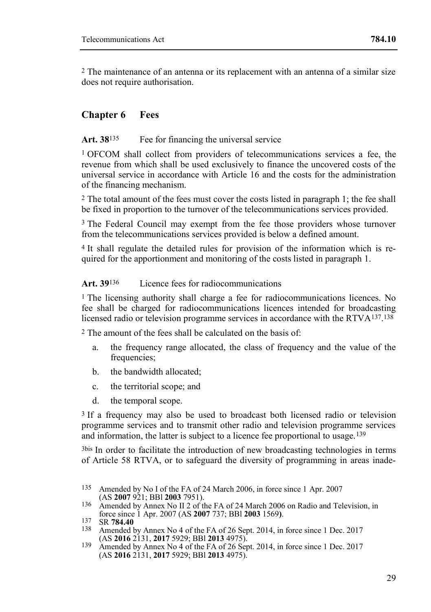2 The maintenance of an antenna or its replacement with an antenna of a similar size does not require authorisation.

## **Chapter 6 Fees**

## Art. 38<sup>135</sup> Fee for financing the universal service

1 OFCOM shall collect from providers of telecommunications services a fee, the revenue from which shall be used exclusively to finance the uncovered costs of the universal service in accordance with Article 16 and the costs for the administration of the financing mechanism.

2 The total amount of the fees must cover the costs listed in paragraph 1; the fee shall be fixed in proportion to the turnover of the telecommunications services provided.

3 The Federal Council may exempt from the fee those providers whose turnover from the telecommunications services provided is below a defined amount.

4 It shall regulate the detailed rules for provision of the information which is required for the apportionment and monitoring of the costs listed in paragraph 1.

#### Art. 39<sup>136</sup> Licence fees for radiocommunications

1 The licensing authority shall charge a fee for radiocommunications licences. No fee shall be charged for radiocommunications licences intended for broadcasting licensed radio or television programme services in accordance with the RTVA137. 138

2 The amount of the fees shall be calculated on the basis of:

- a. the frequency range allocated, the class of frequency and the value of the frequencies;
- b. the bandwidth allocated;
- c. the territorial scope; and
- d. the temporal scope.

<sup>3</sup> If a frequency may also be used to broadcast both licensed radio or television programme services and to transmit other radio and television programme services and information, the latter is subject to a licence fee proportional to usage.139

3bis In order to facilitate the introduction of new broadcasting technologies in terms of Article 58 RTVA, or to safeguard the diversity of programming in areas inade-

136 Amended by Annex No II 2 of the FA of 24 March 2006 on Radio and Television, in force since 1 Apr. 2007 (AS **2007** 737; BBl **2003** 1569**)**.

Amended by Annex No 4 of the FA of 26 Sept. 2014, in force since 1 Dec. 2017 (AS **2016** 2131, **2017** 5929; BBl **2013** 4975).

<sup>135</sup> Amended by No I of the FA of 24 March 2006, in force since 1 Apr. 2007 (AS **2007** 921; BBl **2003** 7951).

<sup>137</sup> SR **784.40**

<sup>139</sup> Amended by Annex No 4 of the FA of 26 Sept. 2014, in force since 1 Dec. 2017 (AS **2016** 2131, **2017** 5929; BBl **2013** 4975).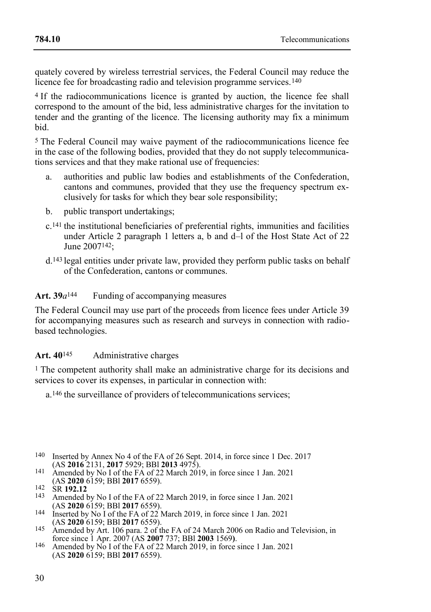quately covered by wireless terrestrial services, the Federal Council may reduce the licence fee for broadcasting radio and television programme services.<sup>140</sup>

4 If the radiocommunications licence is granted by auction, the licence fee shall correspond to the amount of the bid, less administrative charges for the invitation to tender and the granting of the licence. The licensing authority may fix a minimum bid.

5 The Federal Council may waive payment of the radiocommunications licence fee in the case of the following bodies, provided that they do not supply telecommunications services and that they make rational use of frequencies:

- a. authorities and public law bodies and establishments of the Confederation, cantons and communes, provided that they use the frequency spectrum exclusively for tasks for which they bear sole responsibility;
- b. public transport undertakings;
- c.141 the institutional beneficiaries of preferential rights, immunities and facilities under Article 2 paragraph 1 letters a, b and d-l of the Host State Act of 22 June 2007142;
- d.143 legal entities under private law, provided they perform public tasks on behalf of the Confederation, cantons or communes.

#### Art.  $39a^{144}$  Funding of accompanying measures

The Federal Council may use part of the proceeds from licence fees under Article 39 for accompanying measures such as research and surveys in connection with radiobased technologies.

## **Art. 40**145 Administrative charges

1 The competent authority shall make an administrative charge for its decisions and services to cover its expenses, in particular in connection with:

a.146 the surveillance of providers of telecommunications services;

- 140 Inserted by Annex No 4 of the FA of 26 Sept. 2014, in force since 1 Dec. 2017 (AS **2016** 2131, **2017** 5929; BBl **2013** 4975).
- 141 Amended by No I of the FA of 22 March 2019, in force since 1 Jan. 2021 (AS **2020** 6159; BBl **2017** 6559).
- 142 SR **192.12**
- Amended by No I of the FA of 22 March 2019, in force since 1 Jan. 2021 (AS **2020** 6159; BBl **2017** 6559).
- 144 Inserted by No I of the FA of 22 March 2019, in force since 1 Jan. 2021 (AS **2020** 6159; BBl **2017** 6559).
- 145 Amended by Art. 106 para. 2 of the FA of 24 March 2006 on Radio and Television, in force since 1 Apr. 2007 (AS **2007** 737; BBl **2003** 1569**)**.
- 146 Amended by No I of the FA of 22 March 2019, in force since 1 Jan. 2021 (AS **2020** 6159; BBl **2017** 6559).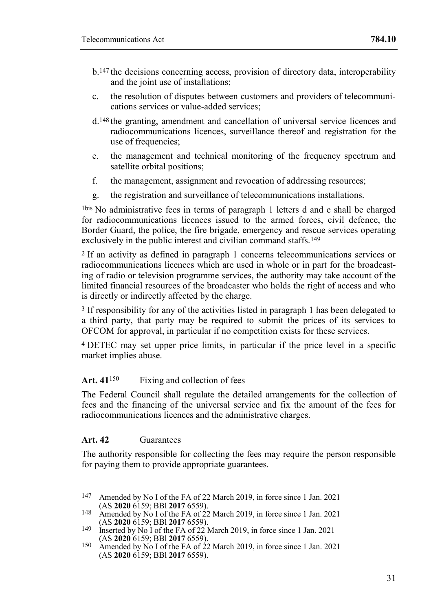- b.147 the decisions concerning access, provision of directory data, interoperability and the joint use of installations;
- c. the resolution of disputes between customers and providers of telecommunications services or value-added services;
- d.148 the granting, amendment and cancellation of universal service licences and radiocommunications licences, surveillance thereof and registration for the use of frequencies:
- e. the management and technical monitoring of the frequency spectrum and satellite orbital positions;
- f. the management, assignment and revocation of addressing resources;
- g. the registration and surveillance of telecommunications installations.

1bis No administrative fees in terms of paragraph 1 letters d and e shall be charged for radiocommunications licences issued to the armed forces, civil defence, the Border Guard, the police, the fire brigade, emergency and rescue services operating exclusively in the public interest and civilian command staffs.<sup>149</sup>

2 If an activity as defined in paragraph 1 concerns telecommunications services or radiocommunications licences which are used in whole or in part for the broadcasting of radio or television programme services, the authority may take account of the limited financial resources of the broadcaster who holds the right of access and who is directly or indirectly affected by the charge.

3 If responsibility for any of the activities listed in paragraph 1 has been delegated to a third party, that party may be required to submit the prices of its services to OFCOM for approval, in particular if no competition exists for these services.

4 DETEC may set upper price limits, in particular if the price level in a specific market implies abuse.

## Art. 41<sup>150</sup> Fixing and collection of fees

The Federal Council shall regulate the detailed arrangements for the collection of fees and the financing of the universal service and fix the amount of the fees for radiocommunications licences and the administrative charges.

## **Art. 42** Guarantees

The authority responsible for collecting the fees may require the person responsible for paying them to provide appropriate guarantees.

<sup>147</sup> Amended by No I of the FA of 22 March 2019, in force since 1 Jan. 2021 (AS **2020** 6159; BBl **2017** 6559).

<sup>148</sup> Amended by No I of the FA of 22 March 2019, in force since 1 Jan. 2021 (AS **2020** 6159; BBl **2017** 6559).

<sup>149</sup> Inserted by No I of the FA of 22 March 2019, in force since 1 Jan. 2021 (AS **2020** 6159; BBl **2017** 6559).

<sup>150</sup> Amended by No I of the FA of 22 March 2019, in force since 1 Jan. 2021 (AS **2020** 6159; BBl **2017** 6559).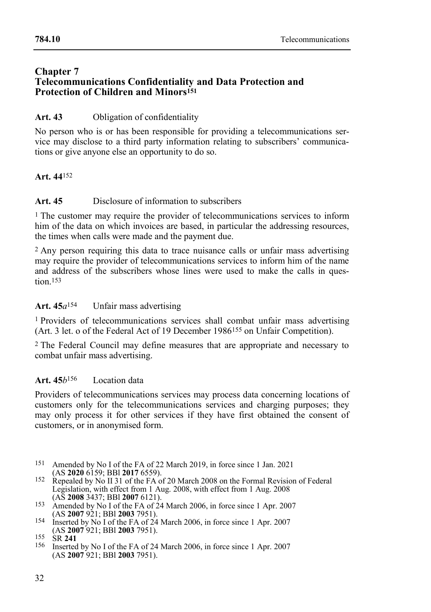#### **Chapter 7 Telecommunications Confidentiality and Data Protection and Protection of Children and Minors<sup>151</sup>**

## **Art. 43** Obligation of confidentiality

No person who is or has been responsible for providing a telecommunications service may disclose to a third party information relating to subscribers' communications or give anyone else an opportunity to do so.

## **Art. 44**152

## **Art. 45** Disclosure of information to subscribers

<sup>1</sup> The customer may require the provider of telecommunications services to inform him of the data on which invoices are based, in particular the addressing resources. the times when calls were made and the payment due.

2 Any person requiring this data to trace nuisance calls or unfair mass advertising may require the provider of telecommunications services to inform him of the name and address of the subscribers whose lines were used to make the calls in question 153

## **Art. 45***a*154 Unfair mass advertising

1 Providers of telecommunications services shall combat unfair mass advertising (Art. 3 let. o of the Federal Act of 19 December 1986155 on Unfair Competition).

2 The Federal Council may define measures that are appropriate and necessary to combat unfair mass advertising.

## **Art. 45***b*156 Location data

Providers of telecommunications services may process data concerning locations of customers only for the telecommunications services and charging purposes; they may only process it for other services if they have first obtained the consent of customers, or in anonymised form.

- 151 Amended by No I of the FA of 22 March 2019, in force since 1 Jan. 2021 (AS **2020** 6159; BBl **2017** 6559).
- 152 Repealed by No II 31 of the FA of 20 March 2008 on the Formal Revision of Federal Legislation, with effect from 1 Aug. 2008, with effect from 1 Aug. 2008 (AS **2008** 3437; BBl **2007** 6121).
- 153 Amended by No I of the FA of 24 March 2006, in force since 1 Apr. 2007 (AS **2007** 921; BBl **2003** 7951).
- 154 Inserted by No I of the FA of 24 March 2006, in force since 1 Apr. 2007 (AS **2007** 921; BBl **2003** 7951).

156 Inserted by No I of the FA of 24 March 2006, in force since 1 Apr. 2007 (AS **2007** 921; BBl **2003** 7951).

<sup>155</sup> SR **241**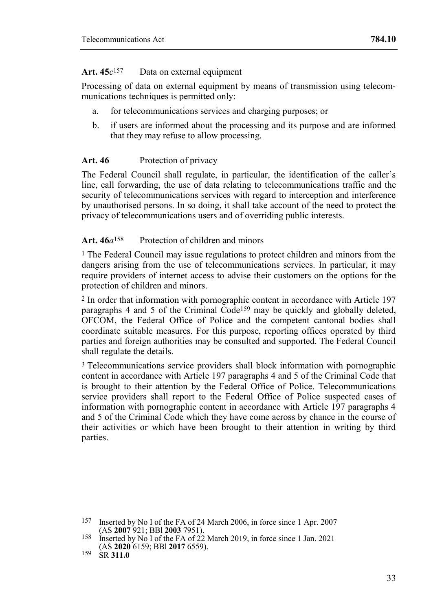#### **Art. 45***c* Data on external equipment

Processing of data on external equipment by means of transmission using telecommunications techniques is permitted only:

- a. for telecommunications services and charging purposes; or
- b. if users are informed about the processing and its purpose and are informed that they may refuse to allow processing.

## Art. 46 Protection of privacy

The Federal Council shall regulate, in particular, the identification of the caller's line, call forwarding, the use of data relating to telecommunications traffic and the security of telecommunications services with regard to interception and interference by unauthorised persons. In so doing, it shall take account of the need to protect the privacy of telecommunications users and of overriding public interests.

## **Art. 46***a*158 Protection of children and minors

1 The Federal Council may issue regulations to protect children and minors from the dangers arising from the use of telecommunications services. In particular, it may require providers of internet access to advise their customers on the options for the protection of children and minors.

2 In order that information with pornographic content in accordance with Article 197 paragraphs 4 and 5 of the Criminal  $\overline{C}$  ode<sup>159</sup> may be quickly and globally deleted, OFCOM, the Federal Office of Police and the competent cantonal bodies shall coordinate suitable measures. For this purpose, reporting offices operated by third parties and foreign authorities may be consulted and supported. The Federal Council shall regulate the details.

3 Telecommunications service providers shall block information with pornographic content in accordance with Article 197 paragraphs 4 and 5 of the Criminal Code that is brought to their attention by the Federal Office of Police. Telecommunications service providers shall report to the Federal Office of Police suspected cases of information with pornographic content in accordance with Article 197 paragraphs 4 and 5 of the Criminal Code which they have come across by chance in the course of their activities or which have been brought to their attention in writing by third parties.

<sup>157</sup> Inserted by No I of the FA of 24 March 2006, in force since 1 Apr. 2007 (AS **2007** 921; BBl **2003** 7951).

<sup>158</sup> Inserted by No I of the FA of 22 March 2019, in force since 1 Jan. 2021 (AS **2020** 6159; BBl **2017** 6559).

<sup>159</sup> SR **311.0**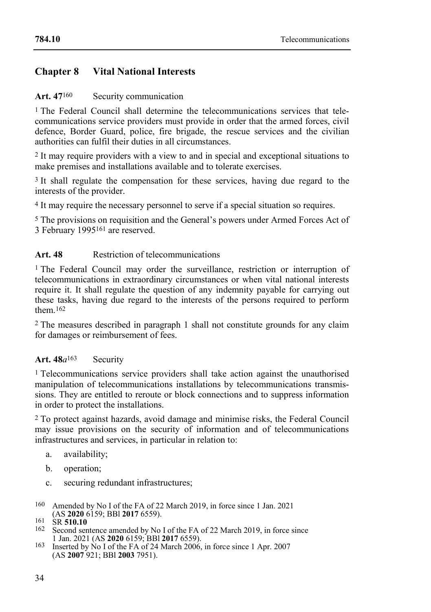## **Chapter 8 Vital National Interests**

## Art. 47<sup>160</sup> Security communication

<sup>1</sup> The Federal Council shall determine the telecommunications services that telecommunications service providers must provide in order that the armed forces, civil defence, Border Guard, police, fire brigade, the rescue services and the civilian authorities can fulfil their duties in all circumstances.

2 It may require providers with a view to and in special and exceptional situations to make premises and installations available and to tolerate exercises.

<sup>3</sup> It shall regulate the compensation for these services, having due regard to the interests of the provider.

4 It may require the necessary personnel to serve if a special situation so requires.

5 The provisions on requisition and the General's powers under Armed Forces Act of 3 February 1995161 are reserved.

## Art. 48 Restriction of telecommunications

<sup>1</sup> The Federal Council may order the surveillance, restriction or interruption of telecommunications in extraordinary circumstances or when vital national interests require it. It shall regulate the question of any indemnity payable for carrying out these tasks, having due regard to the interests of the persons required to perform them 162

2 The measures described in paragraph 1 shall not constitute grounds for any claim for damages or reimbursement of fees.

## **Art. 48***a*163 Security

<sup>1</sup> Telecommunications service providers shall take action against the unauthorised manipulation of telecommunications installations by telecommunications transmissions. They are entitled to reroute or block connections and to suppress information in order to protect the installations.

2 To protect against hazards, avoid damage and minimise risks, the Federal Council may issue provisions on the security of information and of telecommunications infrastructures and services, in particular in relation to:

- a. availability;
- b. operation;
- c. securing redundant infrastructures;
- 160 Amended by No I of the FA of 22 March 2019, in force since 1 Jan. 2021 (AS **2020** 6159; BBl **2017** 6559).
- 161 SR **510.10**
- 162 Second sentence amended by No I of the FA of 22 March 2019, in force since 1 Jan. 2021 (AS **2020** 6159; BBl **2017** 6559).
- 163 Inserted by No I of the FA of 24 March 2006, in force since 1 Apr. 2007 (AS **2007** 921; BBl **2003** 7951).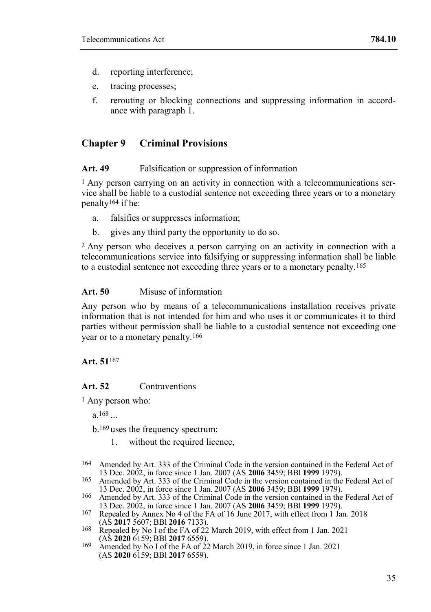- d. reporting interference;
- e. tracing processes;
- f. rerouting or blocking connections and suppressing information in accordance with paragraph 1.

## **Chapter 9 Criminal Provisions**

#### Art. 49 Falsification or suppression of information

 $<sup>1</sup>$  Any person carrying on an activity in connection with a telecommunications ser-</sup> vice shall be liable to a custodial sentence not exceeding three years or to a monetary penalty<sup>164</sup> if he:

- a. falsifies or suppresses information;
- b. gives any third party the opportunity to do so.

2 Any person who deceives a person carrying on an activity in connection with a telecommunications service into falsifying or suppressing information shall be liable to a custodial sentence not exceeding three years or to a monetary penalty.165

#### **Art. 50** Misuse of information

Any person who by means of a telecommunications installation receives private information that is not intended for him and who uses it or communicates it to third parties without permission shall be liable to a custodial sentence not exceeding one year or to a monetary penalty.166

## **Art. 51**167

## **Art. 52** Contraventions

1 Any person who:

a.168 ...

b.169 uses the frequency spectrum:

- 1. without the required licence,
- 164 Amended by Art. 333 of the Criminal Code in the version contained in the Federal Act of 13 Dec. 2002, in force since 1 Jan. 2007 (AS **2006** 3459; BBl **1999** 1979).
- 165 Amended by Art. 333 of the Criminal Code in the version contained in the Federal Act of 13 Dec. 2002, in force since 1 Jan. 2007 (AS **2006** 3459; BBl **1999** 1979).
- 166 Amended by Art. 333 of the Criminal Code in the version contained in the Federal Act of 13 Dec. 2002, in force since 1 Jan. 2007 (AS **2006** 3459; BBl **1999** 1979).
- 167 Repealed by Annex No 4 of the FA of 16 June 2017, with effect from 1 Jan. 2018 (AS **2017** 5607; BBl **2016** 7133).
- 168 Repealed by No I of the FA of 22 March 2019, with effect from 1 Jan. 2021 (AS **2020** 6159; BBl **2017** 6559).
- 169 Amended by No I of the FA of 22 March 2019, in force since 1 Jan. 2021 (AS **2020** 6159; BBl **2017** 6559).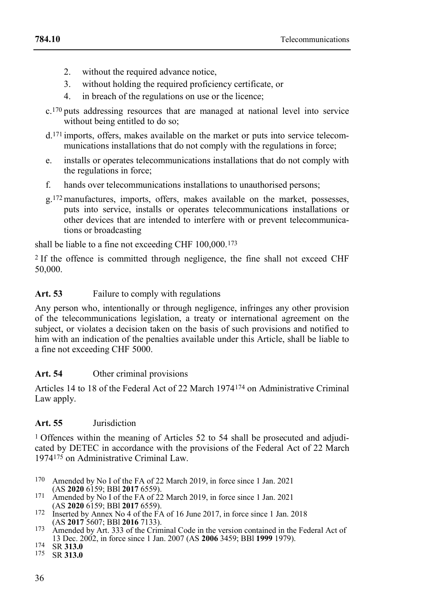- 2. without the required advance notice,
- 3. without holding the required proficiency certificate, or
- 4. in breach of the regulations on use or the licence;
- c.170 puts addressing resources that are managed at national level into service without being entitled to do so;
- d.171 imports, offers, makes available on the market or puts into service telecommunications installations that do not comply with the regulations in force;
- e. installs or operates telecommunications installations that do not comply with the regulations in force;
- f. hands over telecommunications installations to unauthorised persons;
- g.172manufactures, imports, offers, makes available on the market, possesses, puts into service, installs or operates telecommunications installations or other devices that are intended to interfere with or prevent telecommunications or broadcasting

shall be liable to a fine not exceeding CHF 100,000.173

2 If the offence is committed through negligence, the fine shall not exceed CHF 50,000.

Art. 53 Failure to comply with regulations

Any person who, intentionally or through negligence, infringes any other provision of the telecommunications legislation, a treaty or international agreement on the subject, or violates a decision taken on the basis of such provisions and notified to him with an indication of the penalties available under this Article, shall be liable to a fine not exceeding CHF 5000.

## Art. 54 Other criminal provisions

Articles 14 to 18 of the Federal Act of 22 March 1974174 on Administrative Criminal Law apply.

## **Art. 55** Jurisdiction

1 Offences within the meaning of Articles 52 to 54 shall be prosecuted and adjudicated by DETEC in accordance with the provisions of the Federal Act of 22 March 1974175 on Administrative Criminal Law.

- 170 Amended by No I of the FA of 22 March 2019, in force since 1 Jan. 2021 (AS **2020** 6159; BBl **2017** 6559).
- 171 Amended by No I of the FA of 22 March 2019, in force since 1 Jan. 2021 (AS **2020** 6159; BBl **2017** 6559).
- 172 Inserted by Annex No 4 of the FA of 16 June 2017, in force since 1 Jan. 2018 (AS **2017** 5607; BBl **2016** 7133).
- 173 Amended by Art. 333 of the Criminal Code in the version contained in the Federal Act of 13 Dec. 2002, in force since 1 Jan. 2007 (AS **2006** 3459; BBl **1999** 1979).
- 174 SR **313.0**
- 175 SR **313.0**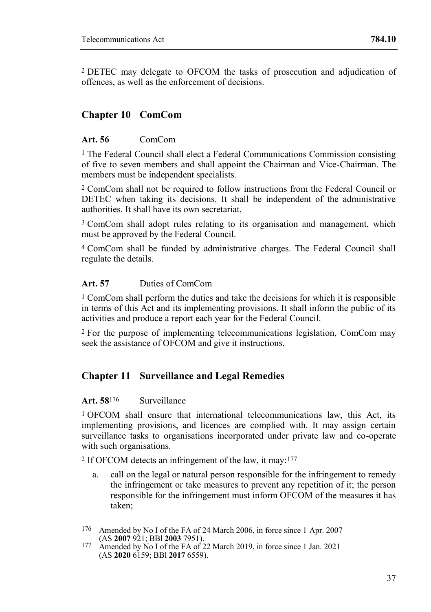2 DETEC may delegate to OFCOM the tasks of prosecution and adjudication of offences, as well as the enforcement of decisions.

## **Chapter 10 ComCom**

## **Art. 56** ComCom

<sup>1</sup> The Federal Council shall elect a Federal Communications Commission consisting of five to seven members and shall appoint the Chairman and Vice-Chairman. The members must be independent specialists.

2 ComCom shall not be required to follow instructions from the Federal Council or DETEC when taking its decisions. It shall be independent of the administrative authorities. It shall have its own secretariat.

3 ComCom shall adopt rules relating to its organisation and management, which must be approved by the Federal Council.

4 ComCom shall be funded by administrative charges. The Federal Council shall regulate the details.

## **Art. 57** Duties of ComCom

1 ComCom shall perform the duties and take the decisions for which it is responsible in terms of this Act and its implementing provisions. It shall inform the public of its activities and produce a report each year for the Federal Council.

2 For the purpose of implementing telecommunications legislation, ComCom may seek the assistance of OFCOM and give it instructions.

## **Chapter 11 Surveillance and Legal Remedies**

## **Art. 58**176 Surveillance

1 OFCOM shall ensure that international telecommunications law, this Act, its implementing provisions, and licences are complied with. It may assign certain surveillance tasks to organisations incorporated under private law and co-operate with such organisations.

2 If OFCOM detects an infringement of the law, it may:177

- a. call on the legal or natural person responsible for the infringement to remedy the infringement or take measures to prevent any repetition of it; the person responsible for the infringement must inform OFCOM of the measures it has taken;
- 176 Amended by No I of the FA of 24 March 2006, in force since 1 Apr. 2007 (AS **2007** 921; BBl **2003** 7951).
- 177 Amended by No I of the FA of 22 March 2019, in force since 1 Jan. 2021 (AS **2020** 6159; BBl **2017** 6559).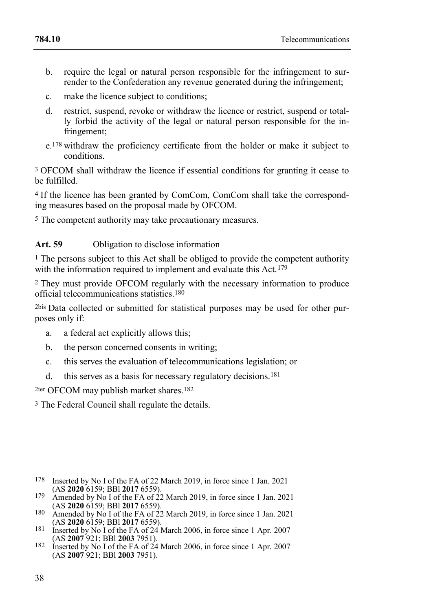- b. require the legal or natural person responsible for the infringement to surrender to the Confederation any revenue generated during the infringement;
- c. make the licence subject to conditions;
- d. restrict, suspend, revoke or withdraw the licence or restrict, suspend or totally forbid the activity of the legal or natural person responsible for the infringement;
- e.178 withdraw the proficiency certificate from the holder or make it subject to conditions.

3 OFCOM shall withdraw the licence if essential conditions for granting it cease to be fulfilled.

4 If the licence has been granted by ComCom, ComCom shall take the corresponding measures based on the proposal made by OFCOM.

5 The competent authority may take precautionary measures.

## Art. 59 Obligation to disclose information

1 The persons subject to this Act shall be obliged to provide the competent authority with the information required to implement and evaluate this Act.<sup>179</sup>

2 They must provide OFCOM regularly with the necessary information to produce official telecommunications statistics.180

2bis Data collected or submitted for statistical purposes may be used for other purposes only if:

- a. a federal act explicitly allows this;
- b. the person concerned consents in writing;
- c. this serves the evaluation of telecommunications legislation; or
- d. this serves as a basis for necessary regulatory decisions.181

2ter OFCOM may publish market shares.182

3 The Federal Council shall regulate the details.

- 178 Inserted by No I of the FA of 22 March 2019, in force since 1 Jan. 2021 (AS **2020** 6159; BBl **2017** 6559).
- 179 Amended by No I of the FA of 22 March 2019, in force since 1 Jan. 2021 (AS **2020** 6159; BBl **2017** 6559).
- 180 Amended by No I of the FA of 22 March 2019, in force since 1 Jan. 2021 (AS **2020** 6159; BBl **2017** 6559).
- 181 Inserted by No I of the FA of 24 March 2006, in force since 1 Apr. 2007 (AS **2007** 921; BBl **2003** 7951).
- 182 Inserted by No I of the FA of 24 March 2006, in force since 1 Apr. 2007 (AS **2007** 921; BBl **2003** 7951).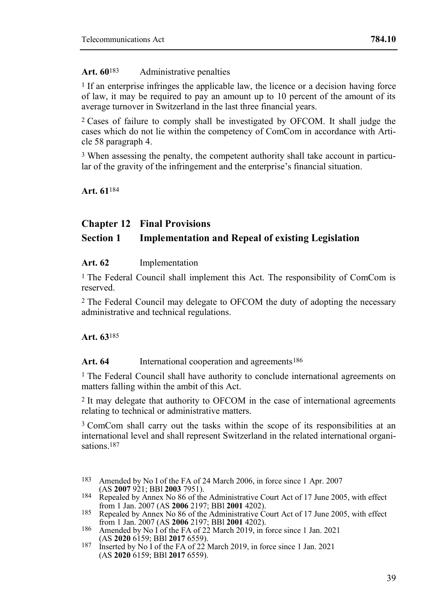## **Art. 60**183 Administrative penalties

1 If an enterprise infringes the applicable law, the licence or a decision having force of law, it may be required to pay an amount up to 10 percent of the amount of its average turnover in Switzerland in the last three financial years.

2 Cases of failure to comply shall be investigated by OFCOM. It shall judge the cases which do not lie within the competency of ComCom in accordance with Article 58 paragraph 4.

3 When assessing the penalty, the competent authority shall take account in particular of the gravity of the infringement and the enterprise's financial situation.

**Art. 61**184

## **Chapter 12 Final Provisions**

## **Section 1 Implementation and Repeal of existing Legislation**

## **Art. 62** Implementation

<sup>1</sup> The Federal Council shall implement this Act. The responsibility of ComCom is reserved.

2 The Federal Council may delegate to OFCOM the duty of adopting the necessary administrative and technical regulations.

**Art. 63**185

Art. 64 International cooperation and agreements<sup>186</sup>

1 The Federal Council shall have authority to conclude international agreements on matters falling within the ambit of this Act.

2 It may delegate that authority to OFCOM in the case of international agreements relating to technical or administrative matters.

3 ComCom shall carry out the tasks within the scope of its responsibilities at an international level and shall represent Switzerland in the related international organisations<sup>187</sup>

<sup>183</sup> Amended by No I of the FA of 24 March 2006, in force since 1 Apr. 2007 (AS **2007** 921; BBl **2003** 7951).

<sup>184</sup> Repealed by Annex No 86 of the Administrative Court Act of 17 June 2005, with effect from 1 Jan. 2007 (AS **2006** 2197; BBl **2001** 4202).

<sup>185</sup> Repealed by Annex No 86 of the Administrative Court Act of 17 June 2005, with effect from 1 Jan. 2007 (AS **2006** 2197; BBl **2001** 4202).

<sup>186</sup> Amended by No I of the FA of 22 March 2019, in force since 1 Jan. 2021 (AS **2020** 6159; BBl **2017** 6559).

<sup>187</sup> Inserted by No I of the FA of 22 March 2019, in force since 1 Jan. 2021 (AS **2020** 6159; BBl **2017** 6559).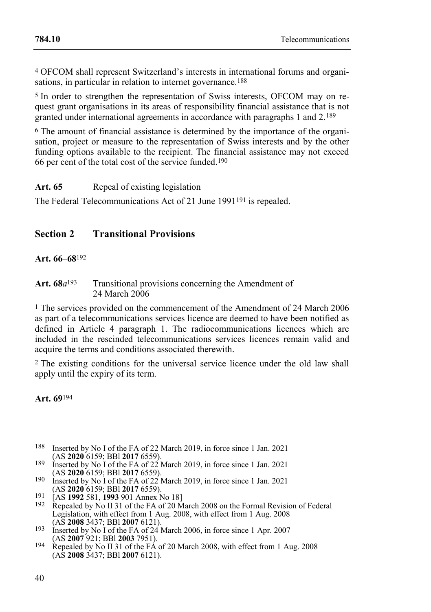4 OFCOM shall represent Switzerland's interests in international forums and organisations, in particular in relation to internet governance.<sup>188</sup>

5 In order to strengthen the representation of Swiss interests, OFCOM may on request grant organisations in its areas of responsibility financial assistance that is not granted under international agreements in accordance with paragraphs 1 and 2.189

6 The amount of financial assistance is determined by the importance of the organisation, project or measure to the representation of Swiss interests and by the other funding options available to the recipient. The financial assistance may not exceed 66 per cent of the total cost of the service funded.190

Art. 65 Repeal of existing legislation

The Federal Telecommunications Act of 21 June 1991<sup>191</sup> is repealed.

## **Section 2 Transitional Provisions**

## **Art. 66***–***68**192

## Art. 68 $a^{193}$  Transitional provisions concerning the Amendment of 24 March 2006

1 The services provided on the commencement of the Amendment of 24 March 2006 as part of a telecommunications services licence are deemed to have been notified as defined in Article 4 paragraph 1. The radiocommunications licences which are included in the rescinded telecommunications services licences remain valid and acquire the terms and conditions associated therewith.

2 The existing conditions for the universal service licence under the old law shall apply until the expiry of its term.

**Art. 69**194

- 188 Inserted by No I of the FA of 22 March 2019, in force since 1 Jan. 2021 (AS **2020** 6159; BBl **2017** 6559).
- 189 Inserted by No I of the FA of 22 March 2019, in force since 1 Jan. 2021
- (AS **2020** 6159; BBl **2017** 6559). 190 Inserted by No I of the FA of 22 March 2019, in force since 1 Jan. 2021 (AS **2020** 6159; BBl **2017** 6559).
- 191 [AS **1992** 581, **1993** 901 Annex No 18]
- 192 Repealed by No II 31 of the FA of 20 March 2008 on the Formal Revision of Federal Legislation, with effect from 1 Aug. 2008, with effect from 1 Aug. 2008 (AS **2008** 3437; BBl **2007** 6121).
- 193 Inserted by No I of the FA of 24 March 2006, in force since 1 Apr. 2007 (AS **2007** 921; BBl **2003** 7951).
- 194 Repealed by No II 31 of the FA of 20 March 2008, with effect from 1 Aug. 2008 (AS **2008** 3437; BBl **2007** 6121).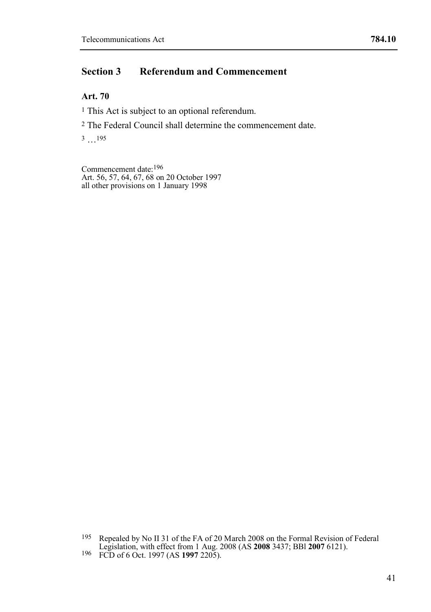## **Section 3 Referendum and Commencement**

## **Art. 70**

<sup>1</sup> This Act is subject to an optional referendum.

2 The Federal Council shall determine the commencement date.

3 …195

Commencement date:196 Art. 56, 57, 64, 67, 68 on 20 October 1997 all other provisions on 1 January 1998

<sup>195</sup> Repealed by No II 31 of the FA of 20 March 2008 on the Formal Revision of Federal Legislation, with effect from 1 Aug. 2008 (AS **2008** 3437; BBl **2007** 6121). 196 FCD of 6 Oct. 1997 (AS **1997** 2205).